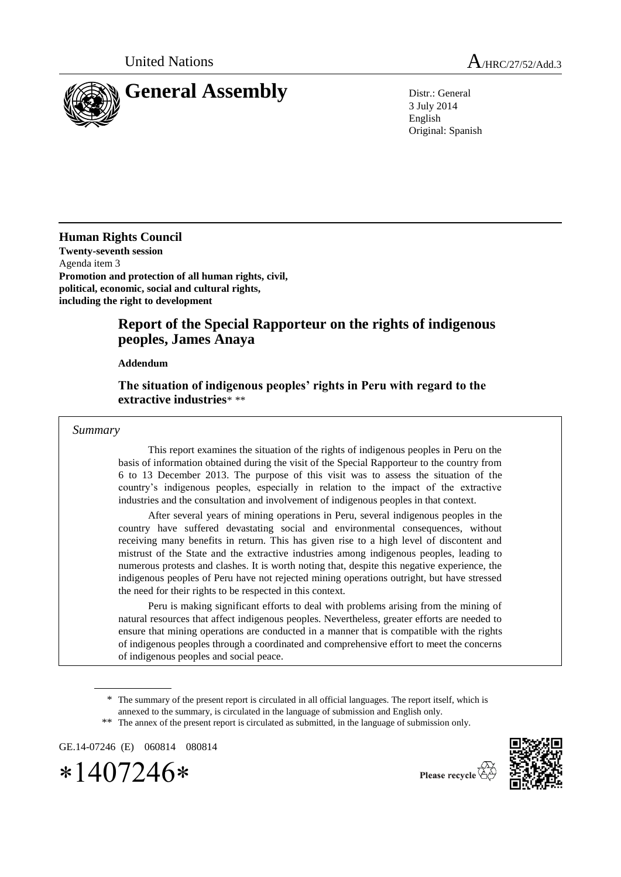

3 July 2014 English Original: Spanish

**Human Rights Council Twenty-seventh session** Agenda item 3 **Promotion and protection of all human rights, civil, political, economic, social and cultural rights, including the right to development**

## **Report of the Special Rapporteur on the rights of indigenous peoples, James Anaya**

**Addendum**

### **The situation of indigenous peoples' rights in Peru with regard to the extractive industries**\* \*\*

#### *Summary*

This report examines the situation of the rights of indigenous peoples in Peru on the basis of information obtained during the visit of the Special Rapporteur to the country from 6 to 13 December 2013. The purpose of this visit was to assess the situation of the country's indigenous peoples, especially in relation to the impact of the extractive industries and the consultation and involvement of indigenous peoples in that context.

After several years of mining operations in Peru, several indigenous peoples in the country have suffered devastating social and environmental consequences, without receiving many benefits in return. This has given rise to a high level of discontent and mistrust of the State and the extractive industries among indigenous peoples, leading to numerous protests and clashes. It is worth noting that, despite this negative experience, the indigenous peoples of Peru have not rejected mining operations outright, but have stressed the need for their rights to be respected in this context.

Peru is making significant efforts to deal with problems arising from the mining of natural resources that affect indigenous peoples. Nevertheless, greater efforts are needed to ensure that mining operations are conducted in a manner that is compatible with the rights of indigenous peoples through a coordinated and comprehensive effort to meet the concerns of indigenous peoples and social peace.

GE.14-07246 (E) 060814 080814





Please recycle  $\overline{\mathbf{y}}$ 

<sup>\*</sup> The summary of the present report is circulated in all official languages. The report itself, which is annexed to the summary, is circulated in the language of submission and English only.

<sup>\*\*</sup> The annex of the present report is circulated as submitted, in the language of submission only.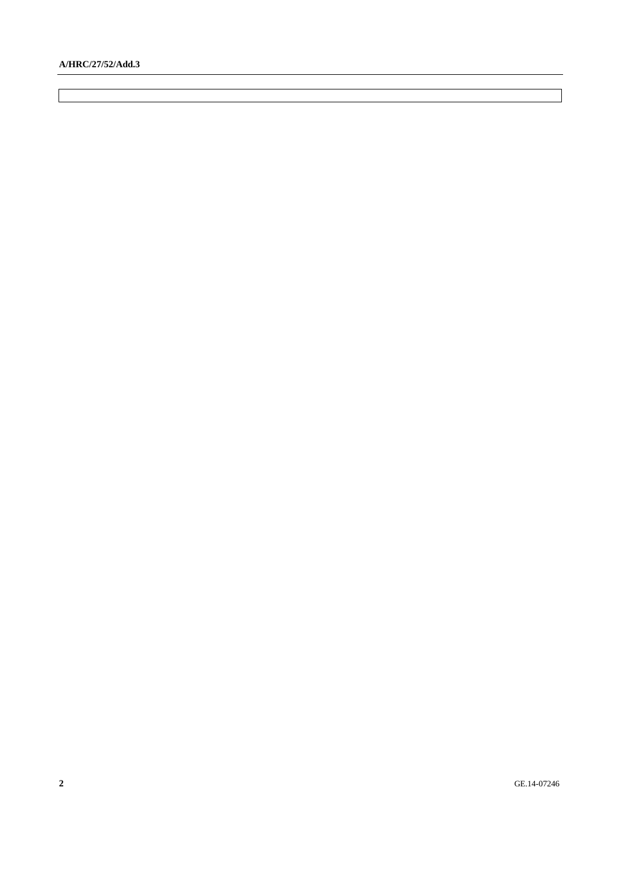**2** GE.14-07246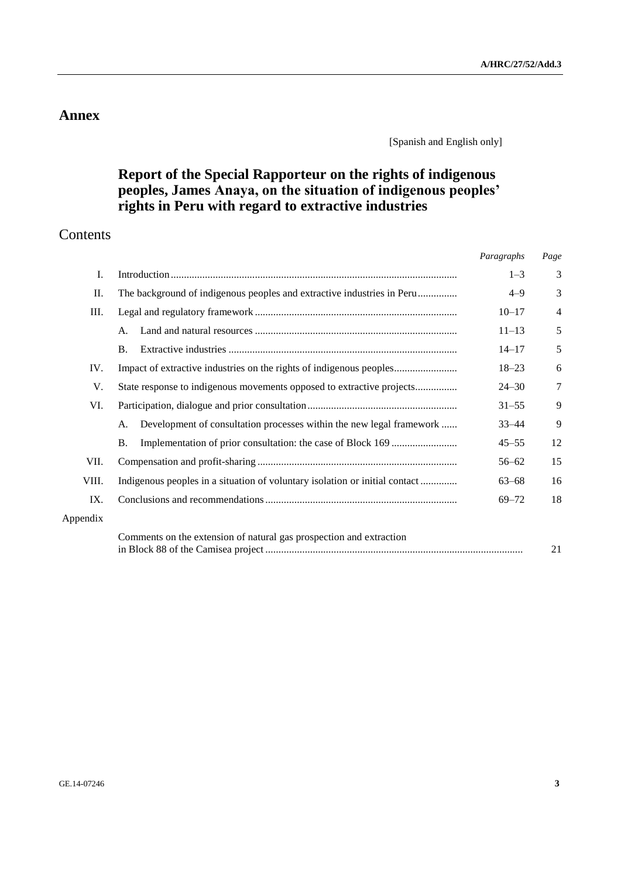## **Annex**

[Spanish and English only]

# **Report of the Special Rapporteur on the rights of indigenous peoples, James Anaya, on the situation of indigenous peoples' rights in Peru with regard to extractive industries**

## Contents

|          |                                                                             | Paragraphs | Page           |
|----------|-----------------------------------------------------------------------------|------------|----------------|
| I.       |                                                                             | $1 - 3$    | 3              |
| П.       | The background of indigenous peoples and extractive industries in Peru      | $4 - 9$    | 3              |
| Ш.       |                                                                             | $10 - 17$  | $\overline{4}$ |
|          | A.                                                                          | $11 - 13$  | 5              |
|          | <b>B.</b>                                                                   | $14 - 17$  | 5              |
| IV.      | Impact of extractive industries on the rights of indigenous peoples         | $18 - 23$  | 6              |
| V.       | State response to indigenous movements opposed to extractive projects       | $24 - 30$  | 7              |
| VI.      |                                                                             | $31 - 55$  | 9              |
|          | Development of consultation processes within the new legal framework<br>А.  | $33 - 44$  | 9              |
|          | Β.                                                                          | $45 - 55$  | 12             |
| VII.     |                                                                             | $56 - 62$  | 15             |
| VIII.    | Indigenous peoples in a situation of voluntary isolation or initial contact | $63 - 68$  | 16             |
| IX.      |                                                                             | $69 - 72$  | 18             |
| Appendix |                                                                             |            |                |
|          | Comments on the extension of natural gas prospection and extraction         |            | 21             |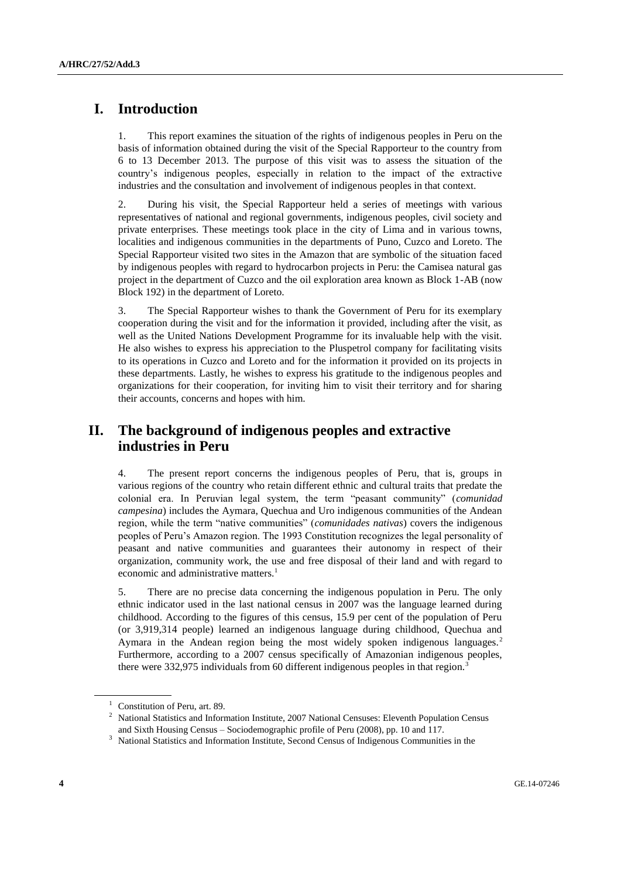## **I. Introduction**

1. This report examines the situation of the rights of indigenous peoples in Peru on the basis of information obtained during the visit of the Special Rapporteur to the country from 6 to 13 December 2013. The purpose of this visit was to assess the situation of the country's indigenous peoples, especially in relation to the impact of the extractive industries and the consultation and involvement of indigenous peoples in that context.

2. During his visit, the Special Rapporteur held a series of meetings with various representatives of national and regional governments, indigenous peoples, civil society and private enterprises. These meetings took place in the city of Lima and in various towns, localities and indigenous communities in the departments of Puno, Cuzco and Loreto. The Special Rapporteur visited two sites in the Amazon that are symbolic of the situation faced by indigenous peoples with regard to hydrocarbon projects in Peru: the Camisea natural gas project in the department of Cuzco and the oil exploration area known as Block 1-AB (now Block 192) in the department of Loreto.

3. The Special Rapporteur wishes to thank the Government of Peru for its exemplary cooperation during the visit and for the information it provided, including after the visit, as well as the United Nations Development Programme for its invaluable help with the visit. He also wishes to express his appreciation to the Pluspetrol company for facilitating visits to its operations in Cuzco and Loreto and for the information it provided on its projects in these departments. Lastly, he wishes to express his gratitude to the indigenous peoples and organizations for their cooperation, for inviting him to visit their territory and for sharing their accounts, concerns and hopes with him.

## **II. The background of indigenous peoples and extractive industries in Peru**

4. The present report concerns the indigenous peoples of Peru, that is, groups in various regions of the country who retain different ethnic and cultural traits that predate the colonial era. In Peruvian legal system, the term "peasant community" (*comunidad campesina*) includes the Aymara, Quechua and Uro indigenous communities of the Andean region, while the term "native communities" (*comunidades nativas*) covers the indigenous peoples of Peru's Amazon region. The 1993 Constitution recognizes the legal personality of peasant and native communities and guarantees their autonomy in respect of their organization, community work, the use and free disposal of their land and with regard to economic and administrative matters.<sup>1</sup>

5. There are no precise data concerning the indigenous population in Peru. The only ethnic indicator used in the last national census in 2007 was the language learned during childhood. According to the figures of this census, 15.9 per cent of the population of Peru (or 3,919,314 people) learned an indigenous language during childhood, Quechua and Aymara in the Andean region being the most widely spoken indigenous languages.<sup>2</sup> Furthermore, according to a 2007 census specifically of Amazonian indigenous peoples, there were 332,975 individuals from 60 different indigenous peoples in that region.<sup>3</sup>

 $1$  Constitution of Peru, art. 89.

<sup>&</sup>lt;sup>2</sup> National Statistics and Information Institute, 2007 National Censuses: Eleventh Population Census and Sixth Housing Census – Sociodemographic profile of Peru (2008), pp. 10 and 117.

<sup>&</sup>lt;sup>3</sup> National Statistics and Information Institute, Second Census of Indigenous Communities in the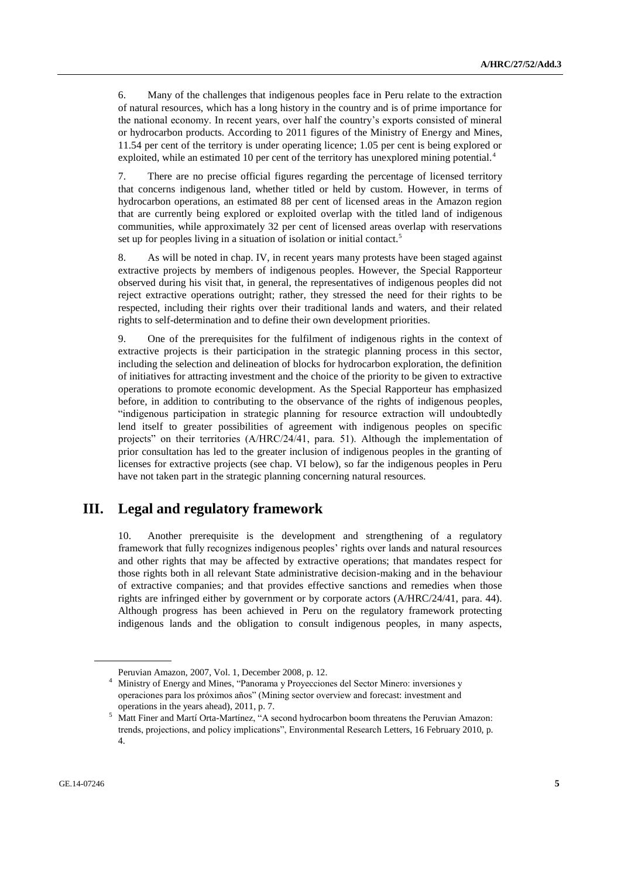6. Many of the challenges that indigenous peoples face in Peru relate to the extraction of natural resources, which has a long history in the country and is of prime importance for the national economy. In recent years, over half the country's exports consisted of mineral or hydrocarbon products. According to 2011 figures of the Ministry of Energy and Mines, 11.54 per cent of the territory is under operating licence; 1.05 per cent is being explored or exploited, while an estimated 10 per cent of the territory has unexplored mining potential.<sup>4</sup>

7. There are no precise official figures regarding the percentage of licensed territory that concerns indigenous land, whether titled or held by custom. However, in terms of hydrocarbon operations, an estimated 88 per cent of licensed areas in the Amazon region that are currently being explored or exploited overlap with the titled land of indigenous communities, while approximately 32 per cent of licensed areas overlap with reservations set up for peoples living in a situation of isolation or initial contact.<sup>5</sup>

8. As will be noted in chap. IV, in recent years many protests have been staged against extractive projects by members of indigenous peoples. However, the Special Rapporteur observed during his visit that, in general, the representatives of indigenous peoples did not reject extractive operations outright; rather, they stressed the need for their rights to be respected, including their rights over their traditional lands and waters, and their related rights to self-determination and to define their own development priorities.

9. One of the prerequisites for the fulfilment of indigenous rights in the context of extractive projects is their participation in the strategic planning process in this sector, including the selection and delineation of blocks for hydrocarbon exploration, the definition of initiatives for attracting investment and the choice of the priority to be given to extractive operations to promote economic development. As the Special Rapporteur has emphasized before, in addition to contributing to the observance of the rights of indigenous peoples, "indigenous participation in strategic planning for resource extraction will undoubtedly lend itself to greater possibilities of agreement with indigenous peoples on specific projects" on their territories (A/HRC/24/41, para. 51). Although the implementation of prior consultation has led to the greater inclusion of indigenous peoples in the granting of licenses for extractive projects (see chap. VI below), so far the indigenous peoples in Peru have not taken part in the strategic planning concerning natural resources.

### **III. Legal and regulatory framework**

10. Another prerequisite is the development and strengthening of a regulatory framework that fully recognizes indigenous peoples' rights over lands and natural resources and other rights that may be affected by extractive operations; that mandates respect for those rights both in all relevant State administrative decision-making and in the behaviour of extractive companies; and that provides effective sanctions and remedies when those rights are infringed either by government or by corporate actors (A/HRC/24/41, para. 44). Although progress has been achieved in Peru on the regulatory framework protecting indigenous lands and the obligation to consult indigenous peoples, in many aspects,

Peruvian Amazon, 2007, Vol. 1, December 2008, p. 12.

<sup>4</sup> Ministry of Energy and Mines, "Panorama y Proyecciones del Sector Minero: inversiones y operaciones para los próximos años" (Mining sector overview and forecast: investment and operations in the years ahead), 2011, p. 7.

<sup>&</sup>lt;sup>5</sup> Matt Finer and Martí Orta-Martínez, "A second hydrocarbon boom threatens the Peruvian Amazon: trends, projections, and policy implications", Environmental Research Letters, 16 February 2010, p. 4.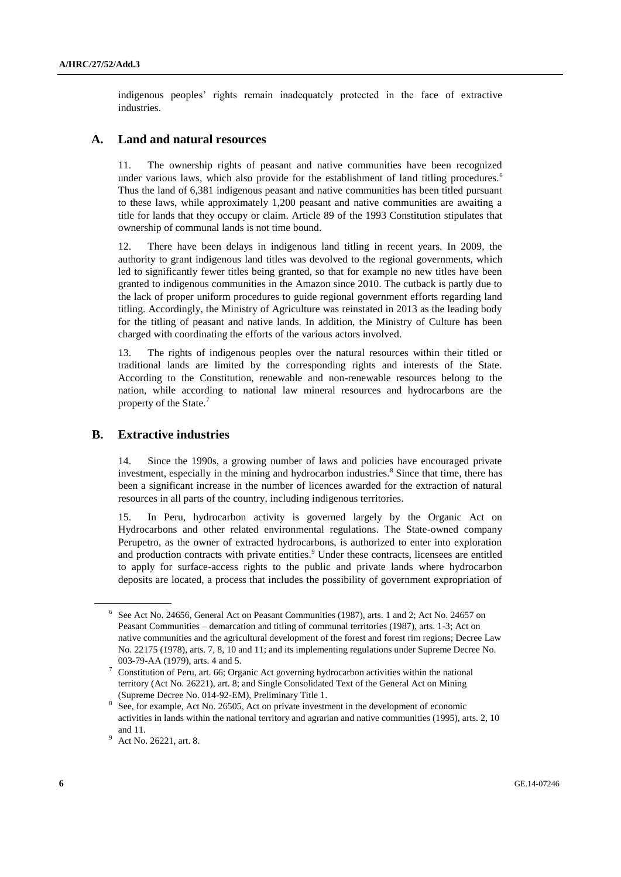indigenous peoples' rights remain inadequately protected in the face of extractive industries.

#### **A. Land and natural resources**

11. The ownership rights of peasant and native communities have been recognized under various laws, which also provide for the establishment of land titling procedures.<sup>6</sup> Thus the land of 6,381 indigenous peasant and native communities has been titled pursuant to these laws, while approximately 1,200 peasant and native communities are awaiting a title for lands that they occupy or claim. Article 89 of the 1993 Constitution stipulates that ownership of communal lands is not time bound.

12. There have been delays in indigenous land titling in recent years. In 2009, the authority to grant indigenous land titles was devolved to the regional governments, which led to significantly fewer titles being granted, so that for example no new titles have been granted to indigenous communities in the Amazon since 2010. The cutback is partly due to the lack of proper uniform procedures to guide regional government efforts regarding land titling. Accordingly, the Ministry of Agriculture was reinstated in 2013 as the leading body for the titling of peasant and native lands. In addition, the Ministry of Culture has been charged with coordinating the efforts of the various actors involved.

13. The rights of indigenous peoples over the natural resources within their titled or traditional lands are limited by the corresponding rights and interests of the State. According to the Constitution, renewable and non-renewable resources belong to the nation, while according to national law mineral resources and hydrocarbons are the property of the State.<sup>7</sup>

#### **B. Extractive industries**

14. Since the 1990s, a growing number of laws and policies have encouraged private investment, especially in the mining and hydrocarbon industries.<sup>8</sup> Since that time, there has been a significant increase in the number of licences awarded for the extraction of natural resources in all parts of the country, including indigenous territories.

15. In Peru, hydrocarbon activity is governed largely by the Organic Act on Hydrocarbons and other related environmental regulations. The State-owned company Perupetro, as the owner of extracted hydrocarbons, is authorized to enter into exploration and production contracts with private entities.<sup>9</sup> Under these contracts, licensees are entitled to apply for surface-access rights to the public and private lands where hydrocarbon deposits are located, a process that includes the possibility of government expropriation of

<sup>6</sup> See Act No. 24656, General Act on Peasant Communities (1987), arts. 1 and 2; Act No. 24657 on Peasant Communities – demarcation and titling of communal territories (1987), arts. 1-3; Act on native communities and the agricultural development of the forest and forest rim regions; Decree Law No. 22175 (1978), arts. 7, 8, 10 and 11; and its implementing regulations under Supreme Decree No. 003-79-AA (1979), arts. 4 and 5.

 $7$  Constitution of Peru, art. 66; Organic Act governing hydrocarbon activities within the national territory (Act No. 26221), art. 8; and Single Consolidated Text of the General Act on Mining (Supreme Decree No. 014-92-EM), Preliminary Title 1.

<sup>&</sup>lt;sup>8</sup> See, for example, Act No. 26505, Act on private investment in the development of economic activities in lands within the national territory and agrarian and native communities (1995), arts. 2, 10 and 11.

<sup>9</sup> Act No. 26221, art. 8.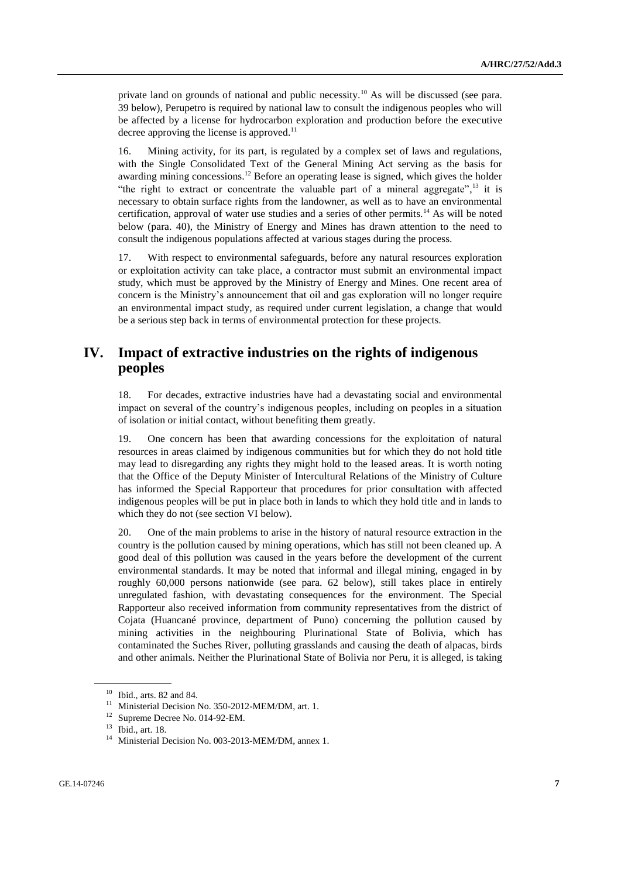private land on grounds of national and public necessity.<sup>10</sup> As will be discussed (see para. 39 below), Perupetro is required by national law to consult the indigenous peoples who will be affected by a license for hydrocarbon exploration and production before the executive decree approving the license is approved. $^{11}$ 

16. Mining activity, for its part, is regulated by a complex set of laws and regulations, with the Single Consolidated Text of the General Mining Act serving as the basis for awarding mining concessions.<sup>12</sup> Before an operating lease is signed, which gives the holder "the right to extract or concentrate the valuable part of a mineral aggregate", $^{13}$  it is necessary to obtain surface rights from the landowner, as well as to have an environmental certification, approval of water use studies and a series of other permits.<sup>14</sup> As will be noted below (para. 40), the Ministry of Energy and Mines has drawn attention to the need to consult the indigenous populations affected at various stages during the process.

17. With respect to environmental safeguards, before any natural resources exploration or exploitation activity can take place, a contractor must submit an environmental impact study, which must be approved by the Ministry of Energy and Mines. One recent area of concern is the Ministry's announcement that oil and gas exploration will no longer require an environmental impact study, as required under current legislation, a change that would be a serious step back in terms of environmental protection for these projects.

## **IV. Impact of extractive industries on the rights of indigenous peoples**

18. For decades, extractive industries have had a devastating social and environmental impact on several of the country's indigenous peoples, including on peoples in a situation of isolation or initial contact, without benefiting them greatly.

19. One concern has been that awarding concessions for the exploitation of natural resources in areas claimed by indigenous communities but for which they do not hold title may lead to disregarding any rights they might hold to the leased areas. It is worth noting that the Office of the Deputy Minister of Intercultural Relations of the Ministry of Culture has informed the Special Rapporteur that procedures for prior consultation with affected indigenous peoples will be put in place both in lands to which they hold title and in lands to which they do not (see section VI below).

20. One of the main problems to arise in the history of natural resource extraction in the country is the pollution caused by mining operations, which has still not been cleaned up. A good deal of this pollution was caused in the years before the development of the current environmental standards. It may be noted that informal and illegal mining, engaged in by roughly 60,000 persons nationwide (see para. 62 below), still takes place in entirely unregulated fashion, with devastating consequences for the environment. The Special Rapporteur also received information from community representatives from the district of Cojata (Huancané province, department of Puno) concerning the pollution caused by mining activities in the neighbouring Plurinational State of Bolivia, which has contaminated the Suches River, polluting grasslands and causing the death of alpacas, birds and other animals. Neither the Plurinational State of Bolivia nor Peru, it is alleged, is taking

<sup>10</sup> Ibid., arts. 82 and 84.

<sup>&</sup>lt;sup>11</sup> Ministerial Decision No. 350-2012-MEM/DM, art. 1.

<sup>12</sup> Supreme Decree No. 014-92-EM.

<sup>13</sup> Ibid., art. 18.

<sup>&</sup>lt;sup>14</sup> Ministerial Decision No. 003-2013-MEM/DM, annex 1.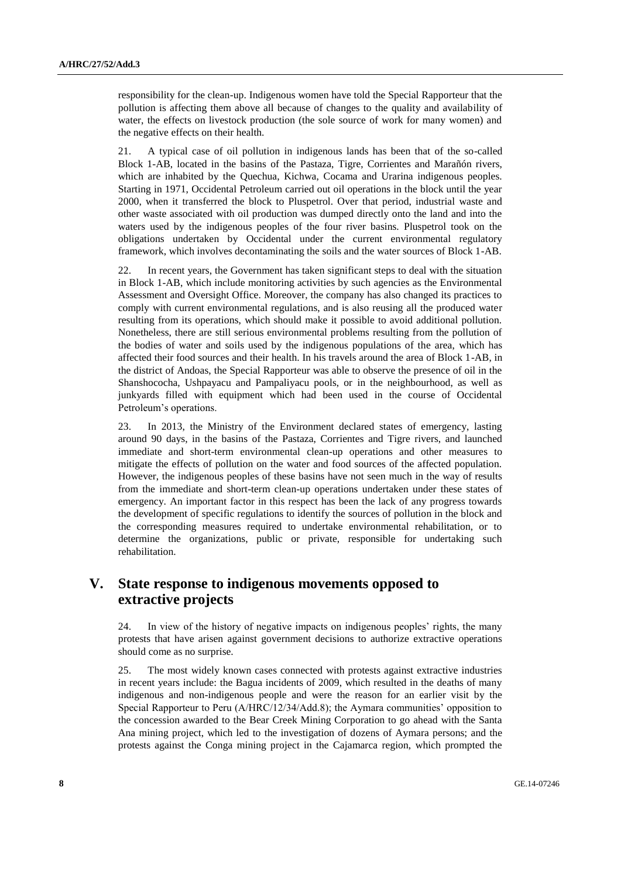responsibility for the clean-up. Indigenous women have told the Special Rapporteur that the pollution is affecting them above all because of changes to the quality and availability of water, the effects on livestock production (the sole source of work for many women) and the negative effects on their health.

21. A typical case of oil pollution in indigenous lands has been that of the so-called Block 1-AB, located in the basins of the Pastaza, Tigre, Corrientes and Marañón rivers, which are inhabited by the Quechua, Kichwa, Cocama and Urarina indigenous peoples. Starting in 1971, Occidental Petroleum carried out oil operations in the block until the year 2000, when it transferred the block to Pluspetrol. Over that period, industrial waste and other waste associated with oil production was dumped directly onto the land and into the waters used by the indigenous peoples of the four river basins. Pluspetrol took on the obligations undertaken by Occidental under the current environmental regulatory framework, which involves decontaminating the soils and the water sources of Block 1-AB.

22. In recent years, the Government has taken significant steps to deal with the situation in Block 1-AB, which include monitoring activities by such agencies as the Environmental Assessment and Oversight Office. Moreover, the company has also changed its practices to comply with current environmental regulations, and is also reusing all the produced water resulting from its operations, which should make it possible to avoid additional pollution. Nonetheless, there are still serious environmental problems resulting from the pollution of the bodies of water and soils used by the indigenous populations of the area, which has affected their food sources and their health. In his travels around the area of Block 1-AB, in the district of Andoas, the Special Rapporteur was able to observe the presence of oil in the Shanshococha, Ushpayacu and Pampaliyacu pools, or in the neighbourhood, as well as junkyards filled with equipment which had been used in the course of Occidental Petroleum's operations.

23. In 2013, the Ministry of the Environment declared states of emergency, lasting around 90 days, in the basins of the Pastaza, Corrientes and Tigre rivers, and launched immediate and short-term environmental clean-up operations and other measures to mitigate the effects of pollution on the water and food sources of the affected population. However, the indigenous peoples of these basins have not seen much in the way of results from the immediate and short-term clean-up operations undertaken under these states of emergency. An important factor in this respect has been the lack of any progress towards the development of specific regulations to identify the sources of pollution in the block and the corresponding measures required to undertake environmental rehabilitation, or to determine the organizations, public or private, responsible for undertaking such rehabilitation.

## **V. State response to indigenous movements opposed to extractive projects**

24. In view of the history of negative impacts on indigenous peoples' rights, the many protests that have arisen against government decisions to authorize extractive operations should come as no surprise.

25. The most widely known cases connected with protests against extractive industries in recent years include: the Bagua incidents of 2009, which resulted in the deaths of many indigenous and non-indigenous people and were the reason for an earlier visit by the Special Rapporteur to Peru (A/HRC/12/34/Add.8); the Aymara communities' opposition to the concession awarded to the Bear Creek Mining Corporation to go ahead with the Santa Ana mining project, which led to the investigation of dozens of Aymara persons; and the protests against the Conga mining project in the Cajamarca region, which prompted the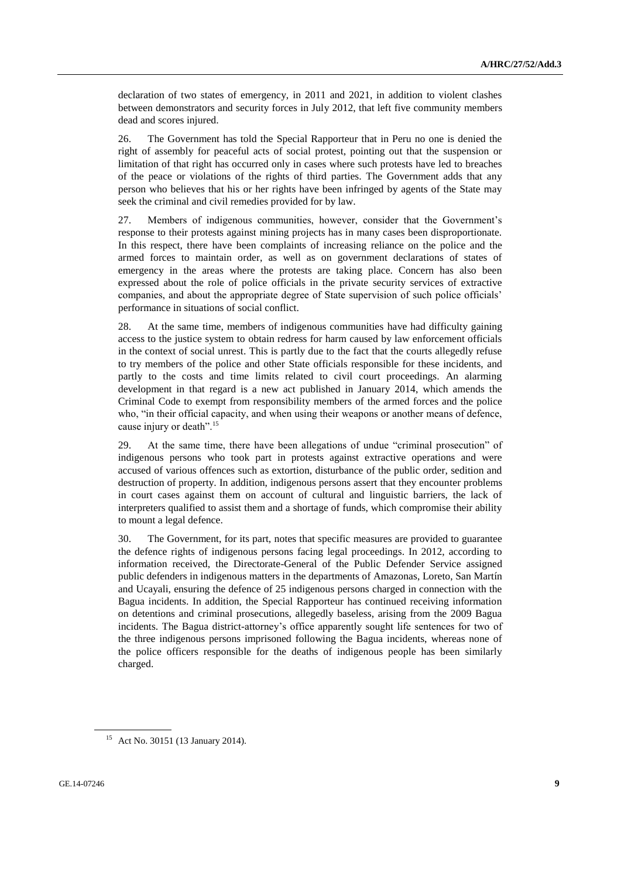declaration of two states of emergency, in 2011 and 2021, in addition to violent clashes between demonstrators and security forces in July 2012, that left five community members dead and scores injured.

26. The Government has told the Special Rapporteur that in Peru no one is denied the right of assembly for peaceful acts of social protest, pointing out that the suspension or limitation of that right has occurred only in cases where such protests have led to breaches of the peace or violations of the rights of third parties. The Government adds that any person who believes that his or her rights have been infringed by agents of the State may seek the criminal and civil remedies provided for by law.

27. Members of indigenous communities, however, consider that the Government's response to their protests against mining projects has in many cases been disproportionate. In this respect, there have been complaints of increasing reliance on the police and the armed forces to maintain order, as well as on government declarations of states of emergency in the areas where the protests are taking place. Concern has also been expressed about the role of police officials in the private security services of extractive companies, and about the appropriate degree of State supervision of such police officials' performance in situations of social conflict.

28. At the same time, members of indigenous communities have had difficulty gaining access to the justice system to obtain redress for harm caused by law enforcement officials in the context of social unrest. This is partly due to the fact that the courts allegedly refuse to try members of the police and other State officials responsible for these incidents, and partly to the costs and time limits related to civil court proceedings. An alarming development in that regard is a new act published in January 2014, which amends the Criminal Code to exempt from responsibility members of the armed forces and the police who, "in their official capacity, and when using their weapons or another means of defence, cause injury or death".<sup>15</sup>

29. At the same time, there have been allegations of undue "criminal prosecution" of indigenous persons who took part in protests against extractive operations and were accused of various offences such as extortion, disturbance of the public order, sedition and destruction of property. In addition, indigenous persons assert that they encounter problems in court cases against them on account of cultural and linguistic barriers, the lack of interpreters qualified to assist them and a shortage of funds, which compromise their ability to mount a legal defence.

30. The Government, for its part, notes that specific measures are provided to guarantee the defence rights of indigenous persons facing legal proceedings. In 2012, according to information received, the Directorate-General of the Public Defender Service assigned public defenders in indigenous matters in the departments of Amazonas, Loreto, San Martín and Ucayali, ensuring the defence of 25 indigenous persons charged in connection with the Bagua incidents. In addition, the Special Rapporteur has continued receiving information on detentions and criminal prosecutions, allegedly baseless, arising from the 2009 Bagua incidents. The Bagua district-attorney's office apparently sought life sentences for two of the three indigenous persons imprisoned following the Bagua incidents, whereas none of the police officers responsible for the deaths of indigenous people has been similarly charged.

<sup>&</sup>lt;sup>15</sup> Act No. 30151 (13 January 2014).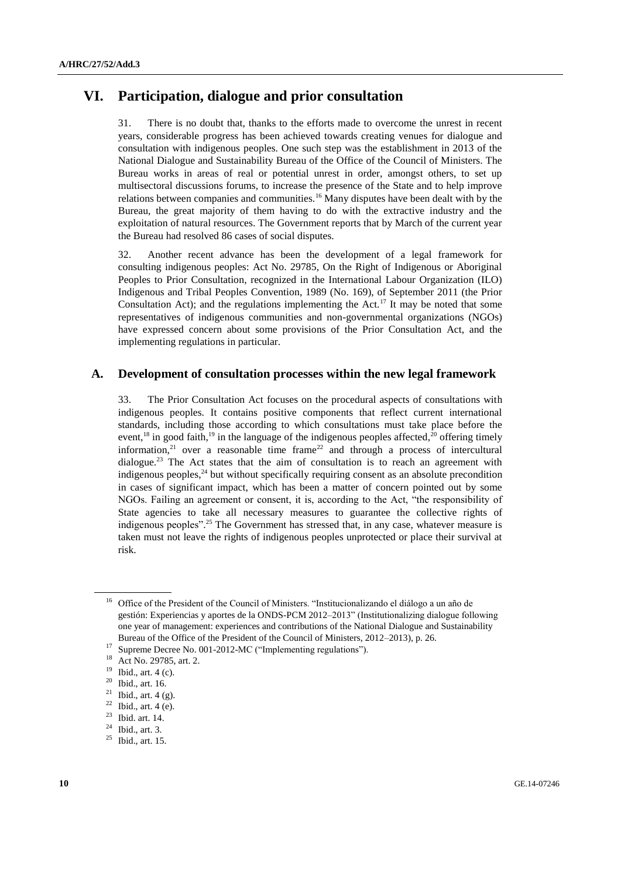# **VI. Participation, dialogue and prior consultation**

31. There is no doubt that, thanks to the efforts made to overcome the unrest in recent years, considerable progress has been achieved towards creating venues for dialogue and consultation with indigenous peoples. One such step was the establishment in 2013 of the National Dialogue and Sustainability Bureau of the Office of the Council of Ministers. The Bureau works in areas of real or potential unrest in order, amongst others, to set up multisectoral discussions forums, to increase the presence of the State and to help improve relations between companies and communities.<sup>16</sup> Many disputes have been dealt with by the Bureau, the great majority of them having to do with the extractive industry and the exploitation of natural resources. The Government reports that by March of the current year the Bureau had resolved 86 cases of social disputes.

32. Another recent advance has been the development of a legal framework for consulting indigenous peoples: Act No. 29785, On the Right of Indigenous or Aboriginal Peoples to Prior Consultation, recognized in the International Labour Organization (ILO) Indigenous and Tribal Peoples Convention, 1989 (No. 169), of September 2011 (the Prior Consultation Act); and the regulations implementing the Act.<sup>17</sup> It may be noted that some representatives of indigenous communities and non-governmental organizations (NGOs) have expressed concern about some provisions of the Prior Consultation Act, and the implementing regulations in particular.

#### **A. Development of consultation processes within the new legal framework**

33. The Prior Consultation Act focuses on the procedural aspects of consultations with indigenous peoples. It contains positive components that reflect current international standards, including those according to which consultations must take place before the event,<sup>18</sup> in good faith,<sup>19</sup> in the language of the indigenous peoples affected,<sup>20</sup> offering timely information,<sup>21</sup> over a reasonable time frame<sup>22</sup> and through a process of intercultural dialogue. <sup>23</sup> The Act states that the aim of consultation is to reach an agreement with indigenous peoples,<sup>24</sup> but without specifically requiring consent as an absolute precondition in cases of significant impact, which has been a matter of concern pointed out by some NGOs. Failing an agreement or consent, it is, according to the Act, "the responsibility of State agencies to take all necessary measures to guarantee the collective rights of indigenous peoples".<sup>25</sup> The Government has stressed that, in any case, whatever measure is taken must not leave the rights of indigenous peoples unprotected or place their survival at risk.

<sup>&</sup>lt;sup>16</sup> Office of the President of the Council of Ministers. "Institucionalizando el diálogo a un año de gestión: Experiencias y aportes de la ONDS-PCM 2012–2013" (Institutionalizing dialogue following one year of management: experiences and contributions of the National Dialogue and Sustainability Bureau of the Office of the President of the Council of Ministers, 2012–2013), p. 26.

<sup>&</sup>lt;sup>17</sup> Supreme Decree No. 001-2012-MC ("Implementing regulations").

<sup>&</sup>lt;sup>18</sup> Act No. 29785, art. 2.

 $^{19}$  Ibid., art. 4 (c).

<sup>&</sup>lt;sup>20</sup> Ibid., art. 16.<br><sup>21</sup> Ibid. art. 4.6

<sup>&</sup>lt;sup>21</sup> Ibid., art. 4 (g).

 $\frac{22}{23}$  Ibid., art. 4 (e).

Ibid. art. 14.

<sup>24</sup> Ibid., art. 3.

<sup>25</sup> Ibid., art. 15.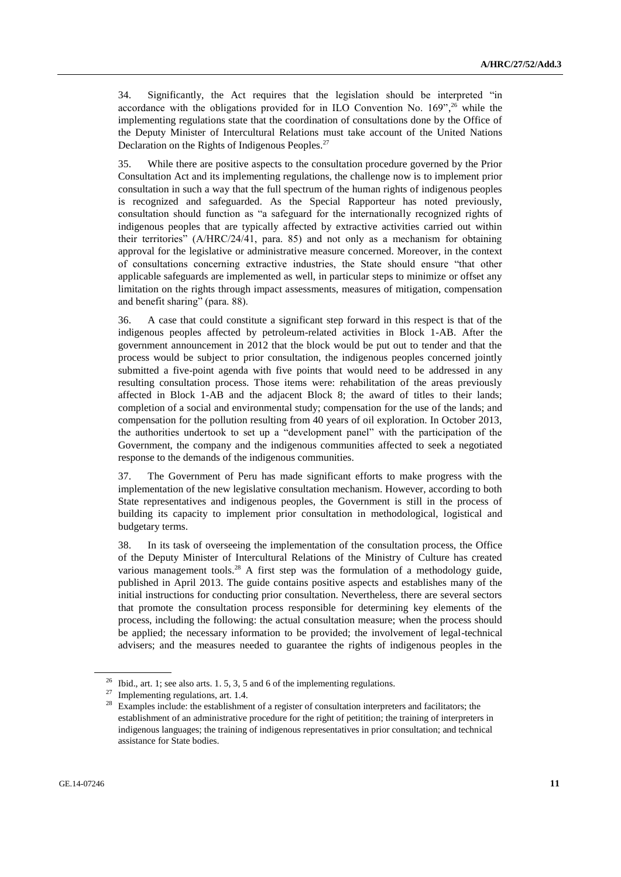34. Significantly, the Act requires that the legislation should be interpreted "in accordance with the obligations provided for in ILO Convention No.  $169^{\circ},^{26}$  while the implementing regulations state that the coordination of consultations done by the Office of the Deputy Minister of Intercultural Relations must take account of the United Nations Declaration on the Rights of Indigenous Peoples.<sup>27</sup>

35. While there are positive aspects to the consultation procedure governed by the Prior Consultation Act and its implementing regulations, the challenge now is to implement prior consultation in such a way that the full spectrum of the human rights of indigenous peoples is recognized and safeguarded. As the Special Rapporteur has noted previously, consultation should function as "a safeguard for the internationally recognized rights of indigenous peoples that are typically affected by extractive activities carried out within their territories" (A/HRC/24/41, para. 85) and not only as a mechanism for obtaining approval for the legislative or administrative measure concerned. Moreover, in the context of consultations concerning extractive industries, the State should ensure "that other applicable safeguards are implemented as well, in particular steps to minimize or offset any limitation on the rights through impact assessments, measures of mitigation, compensation and benefit sharing" (para. 88).

36. A case that could constitute a significant step forward in this respect is that of the indigenous peoples affected by petroleum-related activities in Block 1-AB. After the government announcement in 2012 that the block would be put out to tender and that the process would be subject to prior consultation, the indigenous peoples concerned jointly submitted a five-point agenda with five points that would need to be addressed in any resulting consultation process. Those items were: rehabilitation of the areas previously affected in Block 1-AB and the adjacent Block 8; the award of titles to their lands; completion of a social and environmental study; compensation for the use of the lands; and compensation for the pollution resulting from 40 years of oil exploration. In October 2013, the authorities undertook to set up a "development panel" with the participation of the Government, the company and the indigenous communities affected to seek a negotiated response to the demands of the indigenous communities.

37. The Government of Peru has made significant efforts to make progress with the implementation of the new legislative consultation mechanism. However, according to both State representatives and indigenous peoples, the Government is still in the process of building its capacity to implement prior consultation in methodological, logistical and budgetary terms.

38. In its task of overseeing the implementation of the consultation process, the Office of the Deputy Minister of Intercultural Relations of the Ministry of Culture has created various management tools.<sup>28</sup> A first step was the formulation of a methodology guide, published in April 2013. The guide contains positive aspects and establishes many of the initial instructions for conducting prior consultation. Nevertheless, there are several sectors that promote the consultation process responsible for determining key elements of the process, including the following: the actual consultation measure; when the process should be applied; the necessary information to be provided; the involvement of legal-technical advisers; and the measures needed to guarantee the rights of indigenous peoples in the

<sup>&</sup>lt;sup>26</sup> Ibid., art. 1; see also arts. 1. 5, 3, 5 and 6 of the implementing regulations.

<sup>27</sup> Implementing regulations, art. 1.4.

<sup>&</sup>lt;sup>28</sup> Examples include: the establishment of a register of consultation interpreters and facilitators; the establishment of an administrative procedure for the right of petitition; the training of interpreters in indigenous languages; the training of indigenous representatives in prior consultation; and technical assistance for State bodies.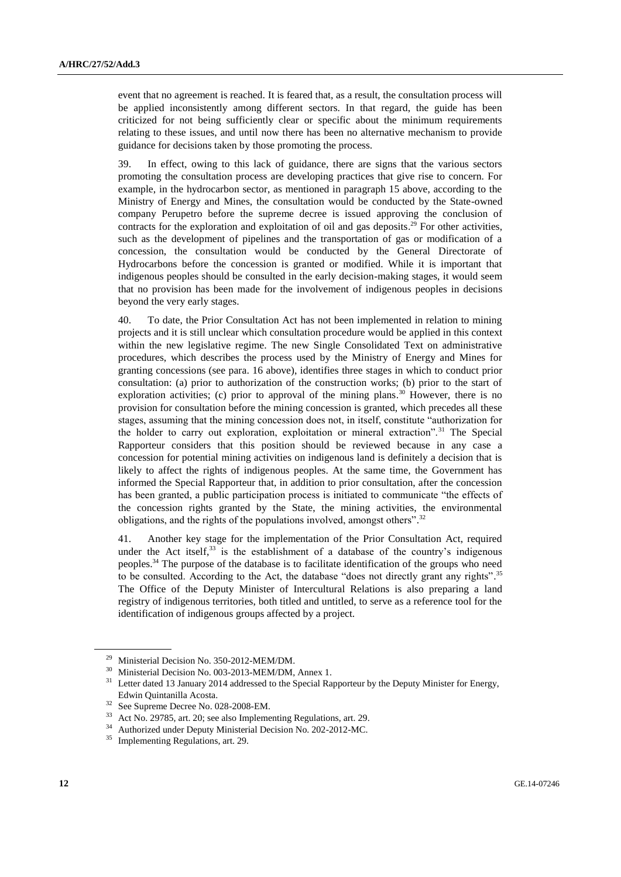event that no agreement is reached. It is feared that, as a result, the consultation process will be applied inconsistently among different sectors. In that regard, the guide has been criticized for not being sufficiently clear or specific about the minimum requirements relating to these issues, and until now there has been no alternative mechanism to provide guidance for decisions taken by those promoting the process.

39. In effect, owing to this lack of guidance, there are signs that the various sectors promoting the consultation process are developing practices that give rise to concern. For example, in the hydrocarbon sector, as mentioned in paragraph 15 above, according to the Ministry of Energy and Mines, the consultation would be conducted by the State-owned company Perupetro before the supreme decree is issued approving the conclusion of contracts for the exploration and exploitation of oil and gas deposits. <sup>29</sup> For other activities, such as the development of pipelines and the transportation of gas or modification of a concession, the consultation would be conducted by the General Directorate of Hydrocarbons before the concession is granted or modified. While it is important that indigenous peoples should be consulted in the early decision-making stages, it would seem that no provision has been made for the involvement of indigenous peoples in decisions beyond the very early stages.

40. To date, the Prior Consultation Act has not been implemented in relation to mining projects and it is still unclear which consultation procedure would be applied in this context within the new legislative regime. The new Single Consolidated Text on administrative procedures, which describes the process used by the Ministry of Energy and Mines for granting concessions (see para. 16 above), identifies three stages in which to conduct prior consultation: (a) prior to authorization of the construction works; (b) prior to the start of exploration activities; (c) prior to approval of the mining plans.<sup>30</sup> However, there is no provision for consultation before the mining concession is granted, which precedes all these stages, assuming that the mining concession does not, in itself, constitute "authorization for the holder to carry out exploration, exploitation or mineral extraction".<sup>31</sup> The Special Rapporteur considers that this position should be reviewed because in any case a concession for potential mining activities on indigenous land is definitely a decision that is likely to affect the rights of indigenous peoples. At the same time, the Government has informed the Special Rapporteur that, in addition to prior consultation, after the concession has been granted, a public participation process is initiated to communicate "the effects of the concession rights granted by the State, the mining activities, the environmental obligations, and the rights of the populations involved, amongst others".<sup>32</sup>

41. Another key stage for the implementation of the Prior Consultation Act, required under the Act itself, $33$  is the establishment of a database of the country's indigenous peoples.<sup>34</sup> The purpose of the database is to facilitate identification of the groups who need to be consulted. According to the Act, the database "does not directly grant any rights".<sup>35</sup> The Office of the Deputy Minister of Intercultural Relations is also preparing a land registry of indigenous territories, both titled and untitled, to serve as a reference tool for the identification of indigenous groups affected by a project.

<sup>29</sup> Ministerial Decision No. 350-2012-MEM/DM.

 $\frac{30}{11}$  Ministerial Decision No. 003-2013-MEM/DM, Annex 1.<br> $\frac{31}{11}$  Letter dated 12 January 2014 oddressed to the Special Bo

Letter dated 13 January 2014 addressed to the Special Rapporteur by the Deputy Minister for Energy, Edwin Quintanilla Acosta.

 $32$  See Supreme Decree No. 028-2008-EM.

 $33$  Act No. 29785, art. 20; see also Implementing Regulations, art. 29.<br> $34$  Authorized under Deputy Ministerial Decision No. 202, 2012 MC

Authorized under Deputy Ministerial Decision No. 202-2012-MC.

<sup>&</sup>lt;sup>35</sup> Implementing Regulations, art. 29.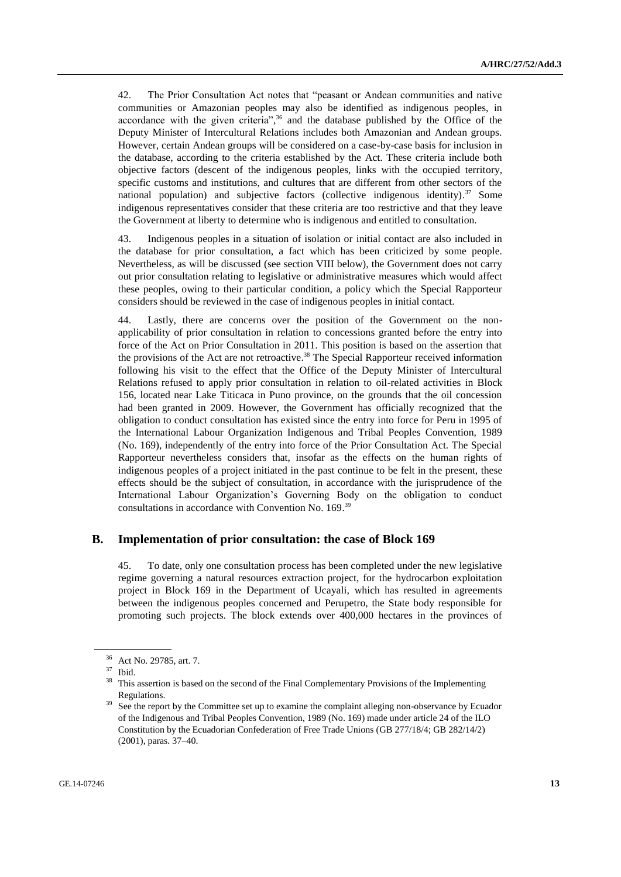42. The Prior Consultation Act notes that "peasant or Andean communities and native communities or Amazonian peoples may also be identified as indigenous peoples, in accordance with the given criteria", <sup>36</sup> and the database published by the Office of the Deputy Minister of Intercultural Relations includes both Amazonian and Andean groups. However, certain Andean groups will be considered on a case-by-case basis for inclusion in the database, according to the criteria established by the Act. These criteria include both objective factors (descent of the indigenous peoples, links with the occupied territory, specific customs and institutions, and cultures that are different from other sectors of the national population) and subjective factors (collective indigenous identity).<sup>37</sup> Some indigenous representatives consider that these criteria are too restrictive and that they leave the Government at liberty to determine who is indigenous and entitled to consultation.

43. Indigenous peoples in a situation of isolation or initial contact are also included in the database for prior consultation, a fact which has been criticized by some people. Nevertheless, as will be discussed (see section VIII below), the Government does not carry out prior consultation relating to legislative or administrative measures which would affect these peoples, owing to their particular condition, a policy which the Special Rapporteur considers should be reviewed in the case of indigenous peoples in initial contact.

44. Lastly, there are concerns over the position of the Government on the nonapplicability of prior consultation in relation to concessions granted before the entry into force of the Act on Prior Consultation in 2011. This position is based on the assertion that the provisions of the Act are not retroactive.<sup>38</sup> The Special Rapporteur received information following his visit to the effect that the Office of the Deputy Minister of Intercultural Relations refused to apply prior consultation in relation to oil-related activities in Block 156, located near Lake Titicaca in Puno province, on the grounds that the oil concession had been granted in 2009. However, the Government has officially recognized that the obligation to conduct consultation has existed since the entry into force for Peru in 1995 of the International Labour Organization Indigenous and Tribal Peoples Convention, 1989 (No. 169), independently of the entry into force of the Prior Consultation Act. The Special Rapporteur nevertheless considers that, insofar as the effects on the human rights of indigenous peoples of a project initiated in the past continue to be felt in the present, these effects should be the subject of consultation, in accordance with the jurisprudence of the International Labour Organization's Governing Body on the obligation to conduct consultations in accordance with Convention No. 169.<sup>39</sup>

#### **B. Implementation of prior consultation: the case of Block 169**

45. To date, only one consultation process has been completed under the new legislative regime governing a natural resources extraction project, for the hydrocarbon exploitation project in Block 169 in the Department of Ucayali, which has resulted in agreements between the indigenous peoples concerned and Perupetro, the State body responsible for promoting such projects. The block extends over 400,000 hectares in the provinces of

 $^{36}$  Act No. 29785, art. 7.

 $rac{37}{38}$  Ibid.

<sup>38</sup> This assertion is based on the second of the Final Complementary Provisions of the Implementing Regulations.

See the report by the Committee set up to examine the complaint alleging non-observance by Ecuador of the Indigenous and Tribal Peoples Convention, 1989 (No. 169) made under article 24 of the ILO Constitution by the Ecuadorian Confederation of Free Trade Unions (GB 277/18/4; GB 282/14/2) (2001), paras. 37–40.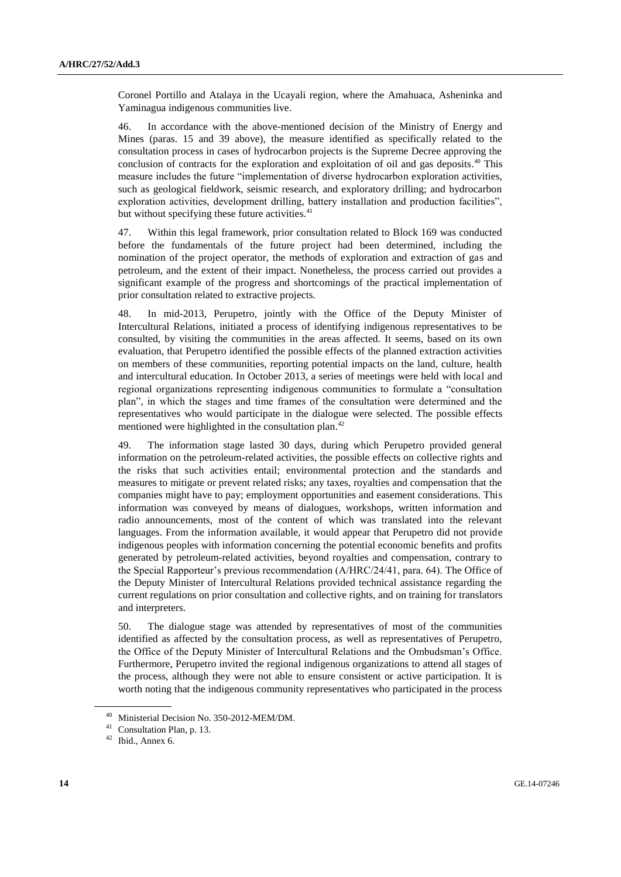Coronel Portillo and Atalaya in the Ucayali region, where the Amahuaca, Asheninka and Yaminagua indigenous communities live.

46. In accordance with the above-mentioned decision of the Ministry of Energy and Mines (paras. 15 and 39 above), the measure identified as specifically related to the consultation process in cases of hydrocarbon projects is the Supreme Decree approving the conclusion of contracts for the exploration and exploitation of oil and gas deposits. <sup>40</sup> This measure includes the future "implementation of diverse hydrocarbon exploration activities, such as geological fieldwork, seismic research, and exploratory drilling; and hydrocarbon exploration activities, development drilling, battery installation and production facilities", but without specifying these future activities.<sup>41</sup>

47. Within this legal framework, prior consultation related to Block 169 was conducted before the fundamentals of the future project had been determined, including the nomination of the project operator, the methods of exploration and extraction of gas and petroleum, and the extent of their impact. Nonetheless, the process carried out provides a significant example of the progress and shortcomings of the practical implementation of prior consultation related to extractive projects.

48. In mid-2013, Perupetro, jointly with the Office of the Deputy Minister of Intercultural Relations, initiated a process of identifying indigenous representatives to be consulted, by visiting the communities in the areas affected. It seems, based on its own evaluation, that Perupetro identified the possible effects of the planned extraction activities on members of these communities, reporting potential impacts on the land, culture, health and intercultural education. In October 2013, a series of meetings were held with local and regional organizations representing indigenous communities to formulate a "consultation plan", in which the stages and time frames of the consultation were determined and the representatives who would participate in the dialogue were selected. The possible effects mentioned were highlighted in the consultation plan.<sup>42</sup>

49. The information stage lasted 30 days, during which Perupetro provided general information on the petroleum-related activities, the possible effects on collective rights and the risks that such activities entail; environmental protection and the standards and measures to mitigate or prevent related risks; any taxes, royalties and compensation that the companies might have to pay; employment opportunities and easement considerations. This information was conveyed by means of dialogues, workshops, written information and radio announcements, most of the content of which was translated into the relevant languages. From the information available, it would appear that Perupetro did not provide indigenous peoples with information concerning the potential economic benefits and profits generated by petroleum-related activities, beyond royalties and compensation, contrary to the Special Rapporteur's previous recommendation (A/HRC/24/41, para. 64). The Office of the Deputy Minister of Intercultural Relations provided technical assistance regarding the current regulations on prior consultation and collective rights, and on training for translators and interpreters.

50. The dialogue stage was attended by representatives of most of the communities identified as affected by the consultation process, as well as representatives of Perupetro, the Office of the Deputy Minister of Intercultural Relations and the Ombudsman's Office. Furthermore, Perupetro invited the regional indigenous organizations to attend all stages of the process, although they were not able to ensure consistent or active participation. It is worth noting that the indigenous community representatives who participated in the process

<sup>40</sup> Ministerial Decision No. 350-2012-MEM/DM.

<sup>41</sup> Consultation Plan, p. 13.

 $42$  Ibid., Annex 6.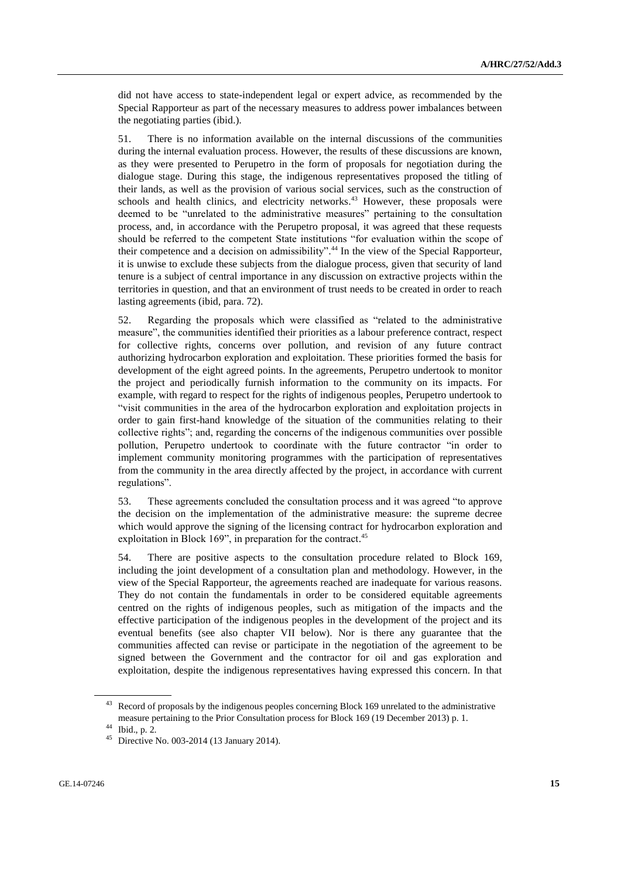did not have access to state-independent legal or expert advice, as recommended by the Special Rapporteur as part of the necessary measures to address power imbalances between the negotiating parties (ibid.).

51. There is no information available on the internal discussions of the communities during the internal evaluation process. However, the results of these discussions are known, as they were presented to Perupetro in the form of proposals for negotiation during the dialogue stage. During this stage, the indigenous representatives proposed the titling of their lands, as well as the provision of various social services, such as the construction of schools and health clinics, and electricity networks.<sup>43</sup> However, these proposals were deemed to be "unrelated to the administrative measures" pertaining to the consultation process, and, in accordance with the Perupetro proposal, it was agreed that these requests should be referred to the competent State institutions "for evaluation within the scope of their competence and a decision on admissibility". <sup>44</sup> In the view of the Special Rapporteur, it is unwise to exclude these subjects from the dialogue process, given that security of land tenure is a subject of central importance in any discussion on extractive projects within the territories in question, and that an environment of trust needs to be created in order to reach lasting agreements (ibid, para. 72).

52. Regarding the proposals which were classified as "related to the administrative measure", the communities identified their priorities as a labour preference contract, respect for collective rights, concerns over pollution, and revision of any future contract authorizing hydrocarbon exploration and exploitation. These priorities formed the basis for development of the eight agreed points. In the agreements, Perupetro undertook to monitor the project and periodically furnish information to the community on its impacts. For example, with regard to respect for the rights of indigenous peoples, Perupetro undertook to "visit communities in the area of the hydrocarbon exploration and exploitation projects in order to gain first-hand knowledge of the situation of the communities relating to their collective rights"; and, regarding the concerns of the indigenous communities over possible pollution, Perupetro undertook to coordinate with the future contractor "in order to implement community monitoring programmes with the participation of representatives from the community in the area directly affected by the project, in accordance with current regulations".

53. These agreements concluded the consultation process and it was agreed "to approve the decision on the implementation of the administrative measure: the supreme decree which would approve the signing of the licensing contract for hydrocarbon exploration and exploitation in Block 169", in preparation for the contract.<sup>45</sup>

54. There are positive aspects to the consultation procedure related to Block 169, including the joint development of a consultation plan and methodology. However, in the view of the Special Rapporteur, the agreements reached are inadequate for various reasons. They do not contain the fundamentals in order to be considered equitable agreements centred on the rights of indigenous peoples, such as mitigation of the impacts and the effective participation of the indigenous peoples in the development of the project and its eventual benefits (see also chapter VII below). Nor is there any guarantee that the communities affected can revise or participate in the negotiation of the agreement to be signed between the Government and the contractor for oil and gas exploration and exploitation, despite the indigenous representatives having expressed this concern. In that

Record of proposals by the indigenous peoples concerning Block 169 unrelated to the administrative measure pertaining to the Prior Consultation process for Block 169 (19 December 2013) p. 1.

<sup>44</sup> Ibid., p. 2.

<sup>45</sup> Directive No. 003-2014 (13 January 2014).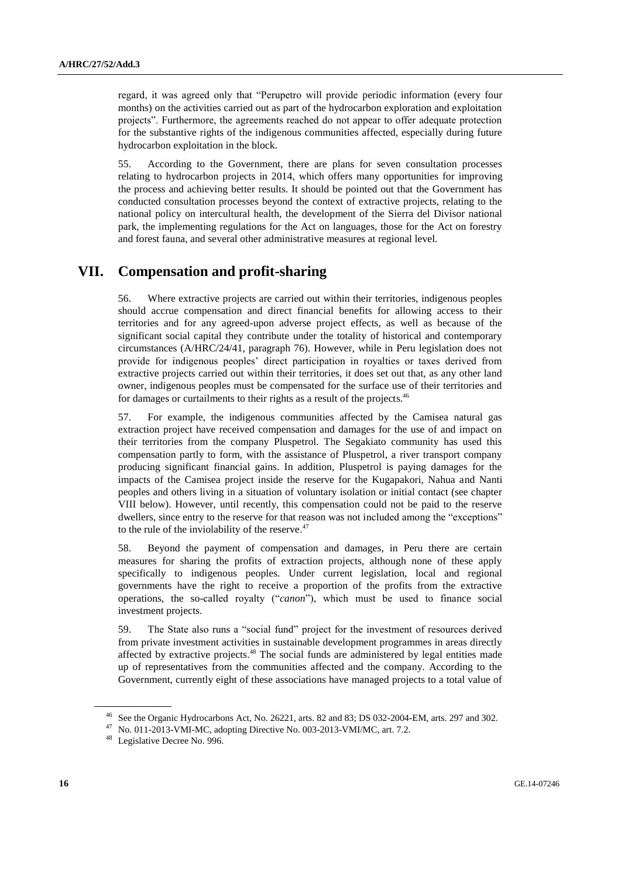regard, it was agreed only that "Perupetro will provide periodic information (every four months) on the activities carried out as part of the hydrocarbon exploration and exploitation projects". Furthermore, the agreements reached do not appear to offer adequate protection for the substantive rights of the indigenous communities affected, especially during future hydrocarbon exploitation in the block.

55. According to the Government, there are plans for seven consultation processes relating to hydrocarbon projects in 2014, which offers many opportunities for improving the process and achieving better results. It should be pointed out that the Government has conducted consultation processes beyond the context of extractive projects, relating to the national policy on intercultural health, the development of the Sierra del Divisor national park, the implementing regulations for the Act on languages, those for the Act on forestry and forest fauna, and several other administrative measures at regional level.

## **VII. Compensation and profit-sharing**

56. Where extractive projects are carried out within their territories, indigenous peoples should accrue compensation and direct financial benefits for allowing access to their territories and for any agreed-upon adverse project effects, as well as because of the significant social capital they contribute under the totality of historical and contemporary circumstances (A/HRC/24/41, paragraph 76). However, while in Peru legislation does not provide for indigenous peoples' direct participation in royalties or taxes derived from extractive projects carried out within their territories, it does set out that, as any other land owner, indigenous peoples must be compensated for the surface use of their territories and for damages or curtailments to their rights as a result of the projects.<sup>46</sup>

57. For example, the indigenous communities affected by the Camisea natural gas extraction project have received compensation and damages for the use of and impact on their territories from the company Pluspetrol. The Segakiato community has used this compensation partly to form, with the assistance of Pluspetrol, a river transport company producing significant financial gains. In addition, Pluspetrol is paying damages for the impacts of the Camisea project inside the reserve for the Kugapakori, Nahua and Nanti peoples and others living in a situation of voluntary isolation or initial contact (see chapter VIII below). However, until recently, this compensation could not be paid to the reserve dwellers, since entry to the reserve for that reason was not included among the "exceptions" to the rule of the inviolability of the reserve.<sup>47</sup>

58. Beyond the payment of compensation and damages, in Peru there are certain measures for sharing the profits of extraction projects, although none of these apply specifically to indigenous peoples. Under current legislation, local and regional governments have the right to receive a proportion of the profits from the extractive operations, the so-called royalty ("*canon*"), which must be used to finance social investment projects.

59. The State also runs a "social fund" project for the investment of resources derived from private investment activities in sustainable development programmes in areas directly affected by extractive projects.<sup>48</sup> The social funds are administered by legal entities made up of representatives from the communities affected and the company. According to the Government, currently eight of these associations have managed projects to a total value of

<sup>46</sup> See the Organic Hydrocarbons Act, No. 26221, arts. 82 and 83; DS 032-2004-EM, arts. 297 and 302.

<sup>47</sup> No. 011-2013-VMI-MC, adopting Directive No. 003-2013-VMI/MC, art. 7.2.

<sup>48</sup> Legislative Decree No. 996.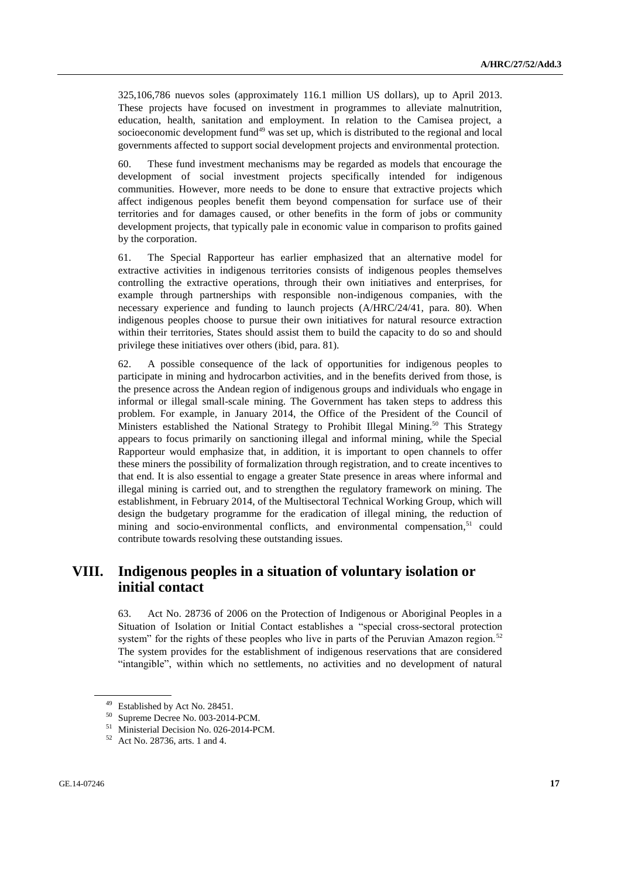325,106,786 nuevos soles (approximately 116.1 million US dollars), up to April 2013. These projects have focused on investment in programmes to alleviate malnutrition, education, health, sanitation and employment. In relation to the Camisea project, a socioeconomic development fund<sup>49</sup> was set up, which is distributed to the regional and local governments affected to support social development projects and environmental protection.

60. These fund investment mechanisms may be regarded as models that encourage the development of social investment projects specifically intended for indigenous communities. However, more needs to be done to ensure that extractive projects which affect indigenous peoples benefit them beyond compensation for surface use of their territories and for damages caused, or other benefits in the form of jobs or community development projects, that typically pale in economic value in comparison to profits gained by the corporation.

61. The Special Rapporteur has earlier emphasized that an alternative model for extractive activities in indigenous territories consists of indigenous peoples themselves controlling the extractive operations, through their own initiatives and enterprises, for example through partnerships with responsible non-indigenous companies, with the necessary experience and funding to launch projects (A/HRC/24/41, para. 80). When indigenous peoples choose to pursue their own initiatives for natural resource extraction within their territories, States should assist them to build the capacity to do so and should privilege these initiatives over others (ibid, para. 81).

62. A possible consequence of the lack of opportunities for indigenous peoples to participate in mining and hydrocarbon activities, and in the benefits derived from those, is the presence across the Andean region of indigenous groups and individuals who engage in informal or illegal small-scale mining. The Government has taken steps to address this problem. For example, in January 2014, the Office of the President of the Council of Ministers established the National Strategy to Prohibit Illegal Mining.<sup>50</sup> This Strategy appears to focus primarily on sanctioning illegal and informal mining, while the Special Rapporteur would emphasize that, in addition, it is important to open channels to offer these miners the possibility of formalization through registration, and to create incentives to that end. It is also essential to engage a greater State presence in areas where informal and illegal mining is carried out, and to strengthen the regulatory framework on mining. The establishment, in February 2014, of the Multisectoral Technical Working Group, which will design the budgetary programme for the eradication of illegal mining, the reduction of mining and socio-environmental conflicts, and environmental compensation,<sup>51</sup> could contribute towards resolving these outstanding issues.

### **VIII. Indigenous peoples in a situation of voluntary isolation or initial contact**

63. Act No. 28736 of 2006 on the Protection of Indigenous or Aboriginal Peoples in a Situation of Isolation or Initial Contact establishes a "special cross-sectoral protection system" for the rights of these peoples who live in parts of the Peruvian Amazon region.<sup>52</sup> The system provides for the establishment of indigenous reservations that are considered "intangible", within which no settlements, no activities and no development of natural

<sup>49</sup> Established by Act No. 28451.

<sup>50</sup> Supreme Decree No. 003-2014-PCM.

<sup>51</sup> Ministerial Decision No. 026-2014-PCM.

<sup>52</sup> Act No. 28736, arts. 1 and 4.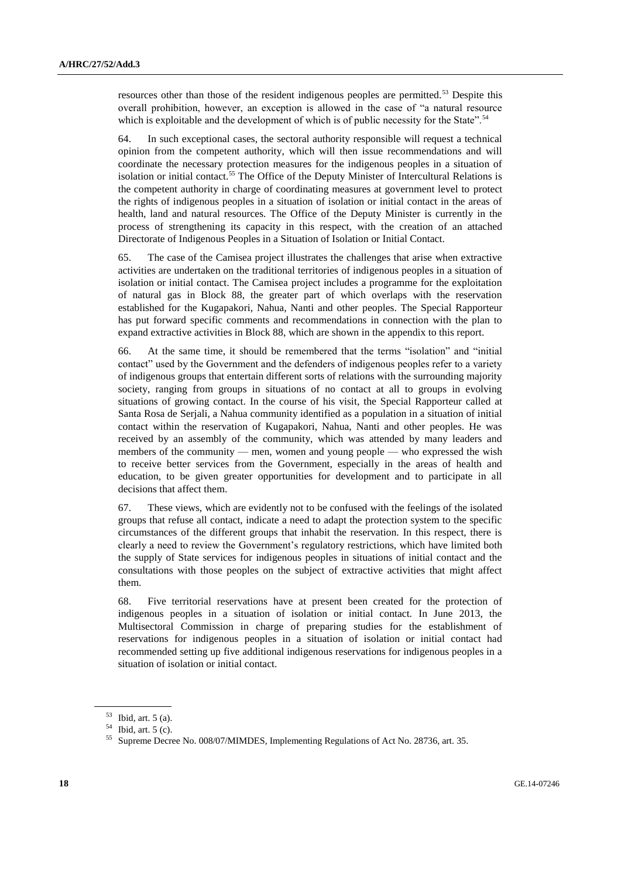resources other than those of the resident indigenous peoples are permitted.<sup>53</sup> Despite this overall prohibition, however, an exception is allowed in the case of "a natural resource which is exploitable and the development of which is of public necessity for the State".<sup>54</sup>

64. In such exceptional cases, the sectoral authority responsible will request a technical opinion from the competent authority, which will then issue recommendations and will coordinate the necessary protection measures for the indigenous peoples in a situation of isolation or initial contact.<sup>55</sup> The Office of the Deputy Minister of Intercultural Relations is the competent authority in charge of coordinating measures at government level to protect the rights of indigenous peoples in a situation of isolation or initial contact in the areas of health, land and natural resources. The Office of the Deputy Minister is currently in the process of strengthening its capacity in this respect, with the creation of an attached Directorate of Indigenous Peoples in a Situation of Isolation or Initial Contact.

65. The case of the Camisea project illustrates the challenges that arise when extractive activities are undertaken on the traditional territories of indigenous peoples in a situation of isolation or initial contact. The Camisea project includes a programme for the exploitation of natural gas in Block 88, the greater part of which overlaps with the reservation established for the Kugapakori, Nahua, Nanti and other peoples. The Special Rapporteur has put forward specific comments and recommendations in connection with the plan to expand extractive activities in Block 88, which are shown in the appendix to this report.

66. At the same time, it should be remembered that the terms "isolation" and "initial contact" used by the Government and the defenders of indigenous peoples refer to a variety of indigenous groups that entertain different sorts of relations with the surrounding majority society, ranging from groups in situations of no contact at all to groups in evolving situations of growing contact. In the course of his visit, the Special Rapporteur called at Santa Rosa de Serjali, a Nahua community identified as a population in a situation of initial contact within the reservation of Kugapakori, Nahua, Nanti and other peoples. He was received by an assembly of the community, which was attended by many leaders and members of the community — men, women and young people — who expressed the wish to receive better services from the Government, especially in the areas of health and education, to be given greater opportunities for development and to participate in all decisions that affect them.

67. These views, which are evidently not to be confused with the feelings of the isolated groups that refuse all contact, indicate a need to adapt the protection system to the specific circumstances of the different groups that inhabit the reservation. In this respect, there is clearly a need to review the Government's regulatory restrictions, which have limited both the supply of State services for indigenous peoples in situations of initial contact and the consultations with those peoples on the subject of extractive activities that might affect them.

68. Five territorial reservations have at present been created for the protection of indigenous peoples in a situation of isolation or initial contact. In June 2013, the Multisectoral Commission in charge of preparing studies for the establishment of reservations for indigenous peoples in a situation of isolation or initial contact had recommended setting up five additional indigenous reservations for indigenous peoples in a situation of isolation or initial contact.

<sup>53</sup> Ibid, art. 5 (a).

<sup>54</sup> Ibid, art. 5 (c).

<sup>55</sup> Supreme Decree No. 008/07/MIMDES, Implementing Regulations of Act No. 28736, art. 35.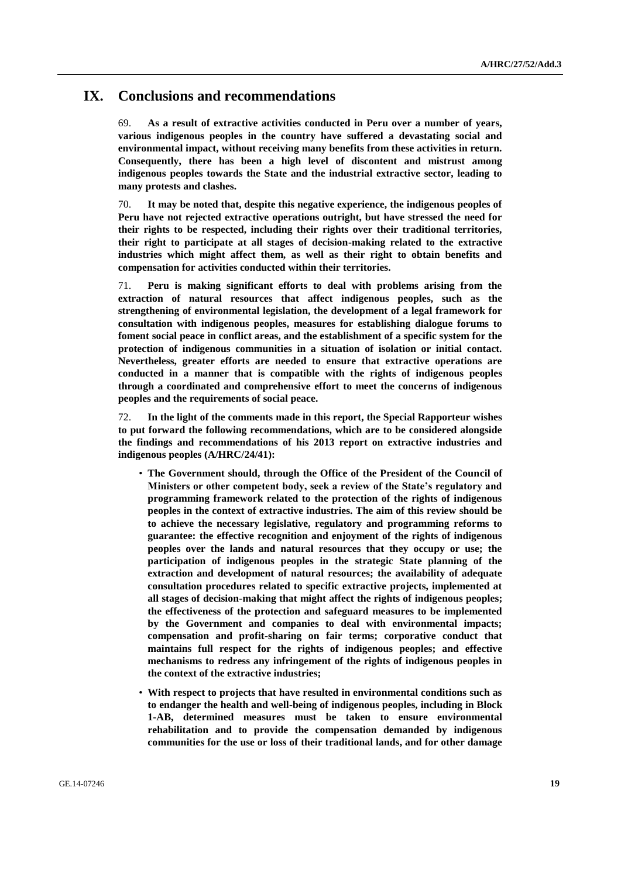### **IX. Conclusions and recommendations**

69. **As a result of extractive activities conducted in Peru over a number of years, various indigenous peoples in the country have suffered a devastating social and environmental impact, without receiving many benefits from these activities in return. Consequently, there has been a high level of discontent and mistrust among indigenous peoples towards the State and the industrial extractive sector, leading to many protests and clashes.**

70. **It may be noted that, despite this negative experience, the indigenous peoples of Peru have not rejected extractive operations outright, but have stressed the need for their rights to be respected, including their rights over their traditional territories, their right to participate at all stages of decision-making related to the extractive industries which might affect them, as well as their right to obtain benefits and compensation for activities conducted within their territories.**

71. **Peru is making significant efforts to deal with problems arising from the extraction of natural resources that affect indigenous peoples, such as the strengthening of environmental legislation, the development of a legal framework for consultation with indigenous peoples, measures for establishing dialogue forums to**  foment social peace in conflict areas, and the establishment of a specific system for the **protection of indigenous communities in a situation of isolation or initial contact. Nevertheless, greater efforts are needed to ensure that extractive operations are conducted in a manner that is compatible with the rights of indigenous peoples through a coordinated and comprehensive effort to meet the concerns of indigenous peoples and the requirements of social peace.**

72. **In the light of the comments made in this report, the Special Rapporteur wishes to put forward the following recommendations, which are to be considered alongside the findings and recommendations of his 2013 report on extractive industries and indigenous peoples (A/HRC/24/41):**

- **The Government should, through the Office of the President of the Council of Ministers or other competent body, seek a review of the State's regulatory and programming framework related to the protection of the rights of indigenous peoples in the context of extractive industries. The aim of this review should be to achieve the necessary legislative, regulatory and programming reforms to guarantee: the effective recognition and enjoyment of the rights of indigenous peoples over the lands and natural resources that they occupy or use; the participation of indigenous peoples in the strategic State planning of the extraction and development of natural resources; the availability of adequate consultation procedures related to specific extractive projects, implemented at all stages of decision-making that might affect the rights of indigenous peoples; the effectiveness of the protection and safeguard measures to be implemented by the Government and companies to deal with environmental impacts; compensation and profit-sharing on fair terms; corporative conduct that maintains full respect for the rights of indigenous peoples; and effective mechanisms to redress any infringement of the rights of indigenous peoples in the context of the extractive industries;**
- **With respect to projects that have resulted in environmental conditions such as to endanger the health and well-being of indigenous peoples, including in Block 1-AB, determined measures must be taken to ensure environmental rehabilitation and to provide the compensation demanded by indigenous communities for the use or loss of their traditional lands, and for other damage**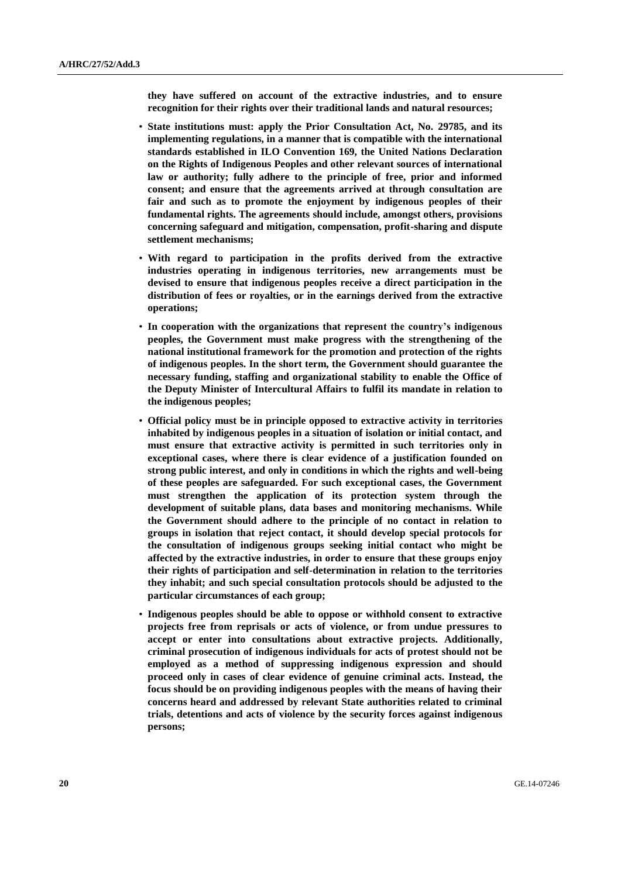**they have suffered on account of the extractive industries, and to ensure recognition for their rights over their traditional lands and natural resources;**

- **State institutions must: apply the Prior Consultation Act, No. 29785, and its implementing regulations, in a manner that is compatible with the international standards established in ILO Convention 169, the United Nations Declaration on the Rights of Indigenous Peoples and other relevant sources of international law or authority; fully adhere to the principle of free, prior and informed consent; and ensure that the agreements arrived at through consultation are fair and such as to promote the enjoyment by indigenous peoples of their fundamental rights. The agreements should include, amongst others, provisions concerning safeguard and mitigation, compensation, profit-sharing and dispute settlement mechanisms;**
- **With regard to participation in the profits derived from the extractive industries operating in indigenous territories, new arrangements must be devised to ensure that indigenous peoples receive a direct participation in the distribution of fees or royalties, or in the earnings derived from the extractive operations;**
- **In cooperation with the organizations that represent the country's indigenous peoples, the Government must make progress with the strengthening of the national institutional framework for the promotion and protection of the rights of indigenous peoples. In the short term, the Government should guarantee the necessary funding, staffing and organizational stability to enable the Office of the Deputy Minister of Intercultural Affairs to fulfil its mandate in relation to the indigenous peoples;**
- **Official policy must be in principle opposed to extractive activity in territories inhabited by indigenous peoples in a situation of isolation or initial contact, and must ensure that extractive activity is permitted in such territories only in exceptional cases, where there is clear evidence of a justification founded on strong public interest, and only in conditions in which the rights and well-being of these peoples are safeguarded. For such exceptional cases, the Government must strengthen the application of its protection system through the development of suitable plans, data bases and monitoring mechanisms. While the Government should adhere to the principle of no contact in relation to groups in isolation that reject contact, it should develop special protocols for the consultation of indigenous groups seeking initial contact who might be affected by the extractive industries, in order to ensure that these groups enjoy their rights of participation and self-determination in relation to the territories they inhabit; and such special consultation protocols should be adjusted to the particular circumstances of each group;**
- **Indigenous peoples should be able to oppose or withhold consent to extractive projects free from reprisals or acts of violence, or from undue pressures to accept or enter into consultations about extractive projects. Additionally, criminal prosecution of indigenous individuals for acts of protest should not be employed as a method of suppressing indigenous expression and should proceed only in cases of clear evidence of genuine criminal acts. Instead, the focus should be on providing indigenous peoples with the means of having their concerns heard and addressed by relevant State authorities related to criminal trials, detentions and acts of violence by the security forces against indigenous persons;**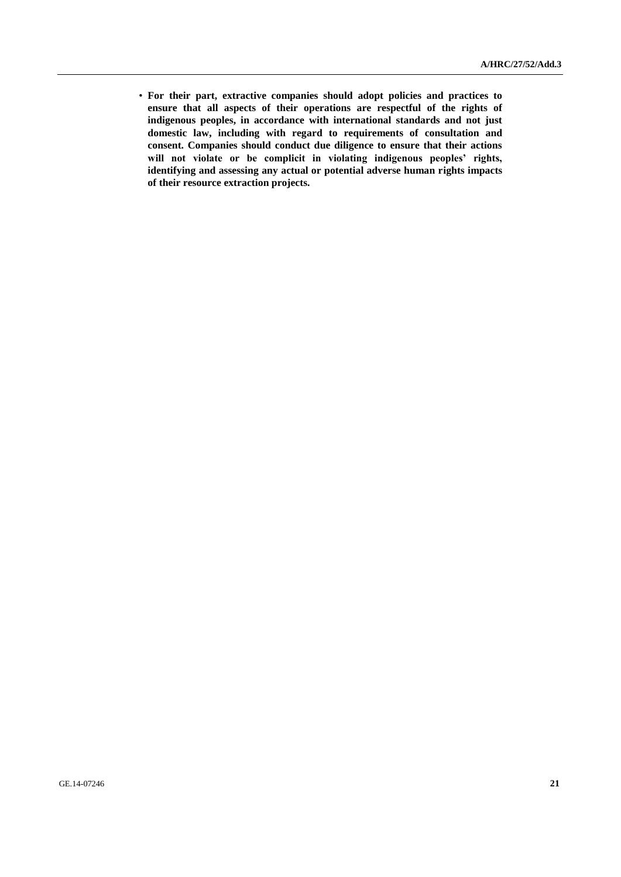• **For their part, extractive companies should adopt policies and practices to ensure that all aspects of their operations are respectful of the rights of indigenous peoples, in accordance with international standards and not just domestic law, including with regard to requirements of consultation and consent. Companies should conduct due diligence to ensure that their actions will not violate or be complicit in violating indigenous peoples' rights, identifying and assessing any actual or potential adverse human rights impacts of their resource extraction projects.**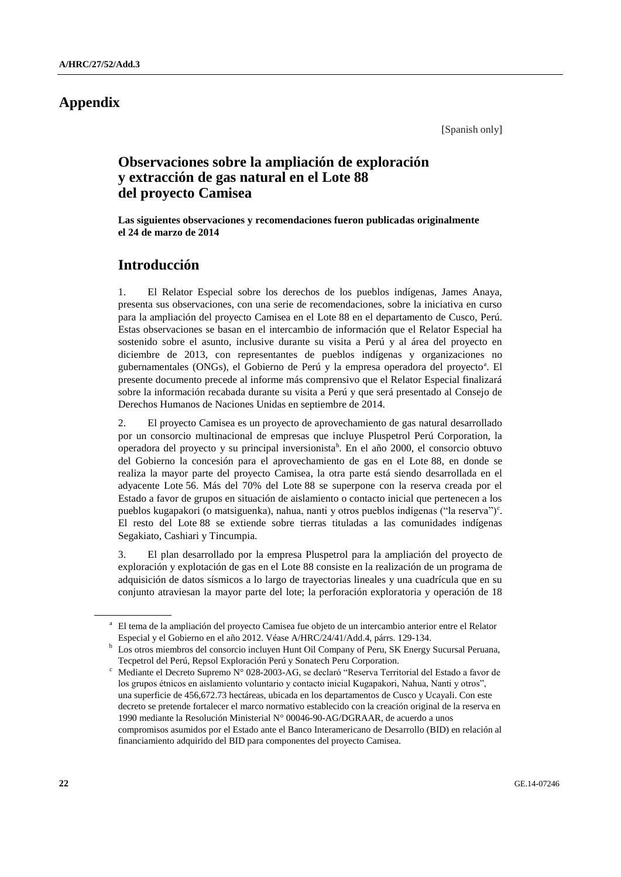### **Appendix**

## **Observaciones sobre la ampliación de exploración y extracción de gas natural en el Lote 88 del proyecto Camisea**

**Las siguientes observaciones y recomendaciones fueron publicadas originalmente el 24 de marzo de 2014**

### **Introducción**

1. El Relator Especial sobre los derechos de los pueblos indígenas, James Anaya, presenta sus observaciones, con una serie de recomendaciones, sobre la iniciativa en curso para la ampliación del proyecto Camisea en el Lote 88 en el departamento de Cusco, Perú. Estas observaciones se basan en el intercambio de información que el Relator Especial ha sostenido sobre el asunto, inclusive durante su visita a Perú y al área del proyecto en diciembre de 2013, con representantes de pueblos indígenas y organizaciones no gubernamentales (ONGs), el Gobierno de Perú y la empresa operadora del proyecto<sup>a</sup>. El presente documento precede al informe más comprensivo que el Relator Especial finalizará sobre la información recabada durante su visita a Perú y que será presentado al Consejo de Derechos Humanos de Naciones Unidas en septiembre de 2014.

2. El proyecto Camisea es un proyecto de aprovechamiento de gas natural desarrollado por un consorcio multinacional de empresas que incluye Pluspetrol Perú Corporation, la operadora del proyecto y su principal inversionista<sup>b</sup>. En el año 2000, el consorcio obtuvo del Gobierno la concesión para el aprovechamiento de gas en el Lote 88, en donde se realiza la mayor parte del proyecto Camisea, la otra parte está siendo desarrollada en el adyacente Lote 56. Más del 70% del Lote 88 se superpone con la reserva creada por el Estado a favor de grupos en situación de aislamiento o contacto inicial que pertenecen a los pueblos kugapakori (o matsiguenka), nahua, nanti y otros pueblos indígenas ("la reserva")<sup>c</sup>. El resto del Lote 88 se extiende sobre tierras tituladas a las comunidades indígenas Segakiato, Cashiari y Tincumpia.

3. El plan desarrollado por la empresa Pluspetrol para la ampliación del proyecto de exploración y explotación de gas en el Lote 88 consiste en la realización de un programa de adquisición de datos sísmicos a lo largo de trayectorias lineales y una cuadrícula que en su conjunto atraviesan la mayor parte del lote; la perforación exploratoria y operación de 18

<sup>c</sup> Mediante el Decreto Supremo N° 028-2003-AG, se declaró "Reserva Territorial del Estado a favor de los grupos étnicos en aislamiento voluntario y contacto inicial Kugapakori, Nahua, Nanti y otros", una superficie de 456,672.73 hectáreas, ubicada en los departamentos de Cusco y Ucayali. Con este decreto se pretende fortalecer el marco normativo establecido con la creación original de la reserva en 1990 mediante la Resolución Ministerial N° 00046-90-AG/DGRAAR, de acuerdo a unos compromisos asumidos por el Estado ante el Banco Interamericano de Desarrollo (BID) en relación al financiamiento adquirido del BID para componentes del proyecto Camisea.

<sup>a</sup> El tema de la ampliación del proyecto Camisea fue objeto de un intercambio anterior entre el Relator Especial y el Gobierno en el año 2012. Véase A/HRC/24/41/Add.4, párrs. 129-134.

Los otros miembros del consorcio incluyen Hunt Oil Company of Peru, SK Energy Sucursal Peruana, Tecpetrol del Perú, Repsol Exploración Perú y Sonatech Peru Corporation.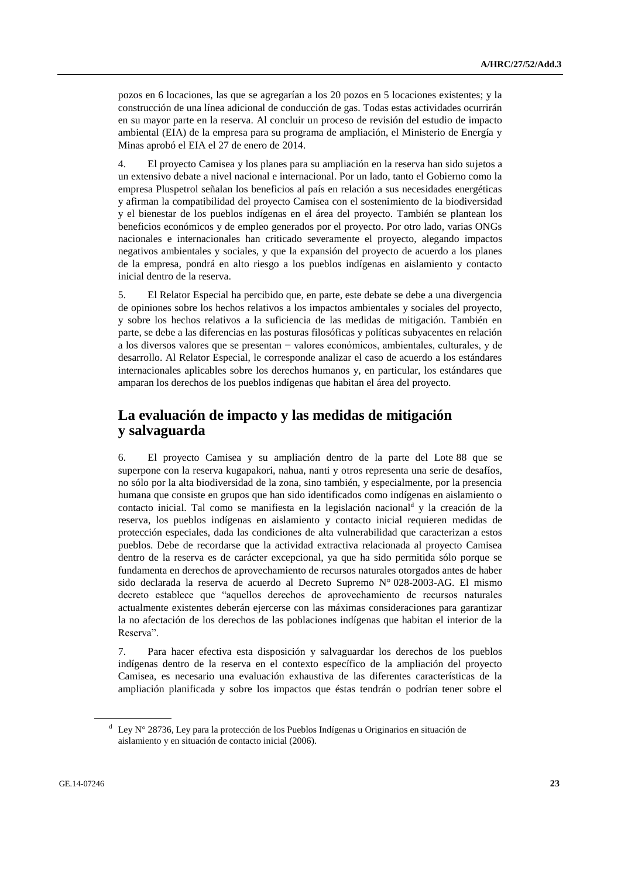pozos en 6 locaciones, las que se agregarían a los 20 pozos en 5 locaciones existentes; y la construcción de una línea adicional de conducción de gas. Todas estas actividades ocurrirán en su mayor parte en la reserva. Al concluir un proceso de revisión del estudio de impacto ambiental (EIA) de la empresa para su programa de ampliación, el Ministerio de Energía y Minas aprobó el EIA el 27 de enero de 2014.

4. El proyecto Camisea y los planes para su ampliación en la reserva han sido sujetos a un extensivo debate a nivel nacional e internacional. Por un lado, tanto el Gobierno como la empresa Pluspetrol señalan los beneficios al país en relación a sus necesidades energéticas y afirman la compatibilidad del proyecto Camisea con el sostenimiento de la biodiversidad y el bienestar de los pueblos indígenas en el área del proyecto. También se plantean los beneficios económicos y de empleo generados por el proyecto. Por otro lado, varias ONGs nacionales e internacionales han criticado severamente el proyecto, alegando impactos negativos ambientales y sociales, y que la expansión del proyecto de acuerdo a los planes de la empresa, pondrá en alto riesgo a los pueblos indígenas en aislamiento y contacto inicial dentro de la reserva.

5. El Relator Especial ha percibido que, en parte, este debate se debe a una divergencia de opiniones sobre los hechos relativos a los impactos ambientales y sociales del proyecto, y sobre los hechos relativos a la suficiencia de las medidas de mitigación. También en parte, se debe a las diferencias en las posturas filosóficas y políticas subyacentes en relación a los diversos valores que se presentan − valores económicos, ambientales, culturales, y de desarrollo. Al Relator Especial, le corresponde analizar el caso de acuerdo a los estándares internacionales aplicables sobre los derechos humanos y, en particular, los estándares que amparan los derechos de los pueblos indígenas que habitan el área del proyecto.

### **La evaluación de impacto y las medidas de mitigación y salvaguarda**

6. El proyecto Camisea y su ampliación dentro de la parte del Lote 88 que se superpone con la reserva kugapakori, nahua, nanti y otros representa una serie de desafíos, no sólo por la alta biodiversidad de la zona, sino también, y especialmente, por la presencia humana que consiste en grupos que han sido identificados como indígenas en aislamiento o contacto inicial. Tal como se manifiesta en la legislación nacional<sup>d</sup> y la creación de la reserva, los pueblos indígenas en aislamiento y contacto inicial requieren medidas de protección especiales, dada las condiciones de alta vulnerabilidad que caracterizan a estos pueblos. Debe de recordarse que la actividad extractiva relacionada al proyecto Camisea dentro de la reserva es de carácter excepcional, ya que ha sido permitida sólo porque se fundamenta en derechos de aprovechamiento de recursos naturales otorgados antes de haber sido declarada la reserva de acuerdo al Decreto Supremo N° 028-2003-AG. El mismo decreto establece que "aquellos derechos de aprovechamiento de recursos naturales actualmente existentes deberán ejercerse con las máximas consideraciones para garantizar la no afectación de los derechos de las poblaciones indígenas que habitan el interior de la Reserva".

7. Para hacer efectiva esta disposición y salvaguardar los derechos de los pueblos indígenas dentro de la reserva en el contexto específico de la ampliación del proyecto Camisea, es necesario una evaluación exhaustiva de las diferentes características de la ampliación planificada y sobre los impactos que éstas tendrán o podrían tener sobre el

 $d$  Ley N° 28736, Ley para la protección de los Pueblos Indígenas u Originarios en situación de aislamiento y en situación de contacto inicial (2006).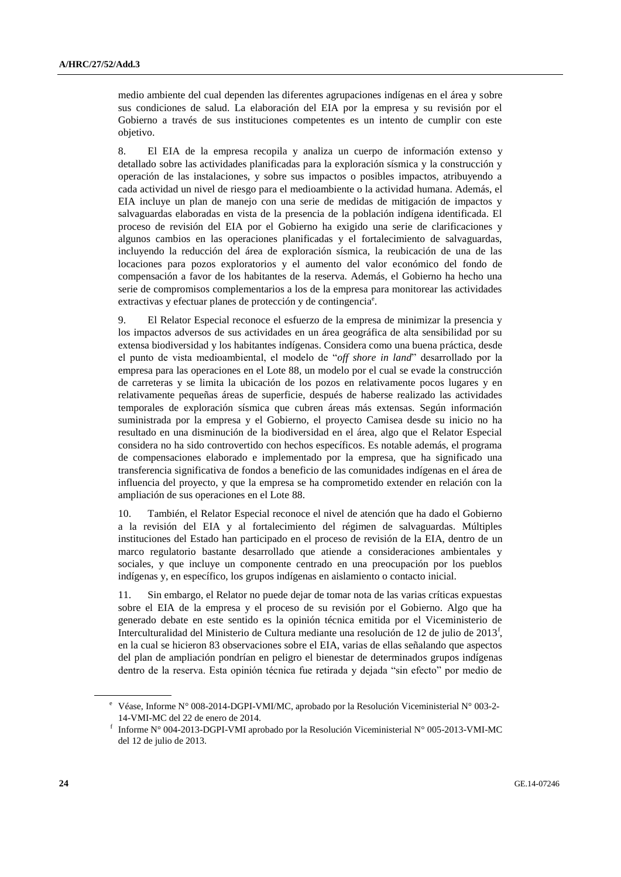medio ambiente del cual dependen las diferentes agrupaciones indígenas en el área y sobre sus condiciones de salud. La elaboración del EIA por la empresa y su revisión por el Gobierno a través de sus instituciones competentes es un intento de cumplir con este objetivo.

8. El EIA de la empresa recopila y analiza un cuerpo de información extenso y detallado sobre las actividades planificadas para la exploración sísmica y la construcción y operación de las instalaciones, y sobre sus impactos o posibles impactos, atribuyendo a cada actividad un nivel de riesgo para el medioambiente o la actividad humana. Además, el EIA incluye un plan de manejo con una serie de medidas de mitigación de impactos y salvaguardas elaboradas en vista de la presencia de la población indígena identificada. El proceso de revisión del EIA por el Gobierno ha exigido una serie de clarificaciones y algunos cambios en las operaciones planificadas y el fortalecimiento de salvaguardas, incluyendo la reducción del área de exploración sísmica, la reubicación de una de las locaciones para pozos exploratorios y el aumento del valor económico del fondo de compensación a favor de los habitantes de la reserva. Además, el Gobierno ha hecho una serie de compromisos complementarios a los de la empresa para monitorear las actividades extractivas y efectuar planes de protección y de contingencia<sup>e</sup>.

9. El Relator Especial reconoce el esfuerzo de la empresa de minimizar la presencia y los impactos adversos de sus actividades en un área geográfica de alta sensibilidad por su extensa biodiversidad y los habitantes indígenas. Considera como una buena práctica, desde el punto de vista medioambiental, el modelo de "*off shore in land*" desarrollado por la empresa para las operaciones en el Lote 88, un modelo por el cual se evade la construcción de carreteras y se limita la ubicación de los pozos en relativamente pocos lugares y en relativamente pequeñas áreas de superficie, después de haberse realizado las actividades temporales de exploración sísmica que cubren áreas más extensas. Según información suministrada por la empresa y el Gobierno, el proyecto Camisea desde su inicio no ha resultado en una disminución de la biodiversidad en el área, algo que el Relator Especial considera no ha sido controvertido con hechos específicos. Es notable además, el programa de compensaciones elaborado e implementado por la empresa, que ha significado una transferencia significativa de fondos a beneficio de las comunidades indígenas en el área de influencia del proyecto, y que la empresa se ha comprometido extender en relación con la ampliación de sus operaciones en el Lote 88.

10. También, el Relator Especial reconoce el nivel de atención que ha dado el Gobierno a la revisión del EIA y al fortalecimiento del régimen de salvaguardas. Múltiples instituciones del Estado han participado en el proceso de revisión de la EIA, dentro de un marco regulatorio bastante desarrollado que atiende a consideraciones ambientales y sociales, y que incluye un componente centrado en una preocupación por los pueblos indígenas y, en específico, los grupos indígenas en aislamiento o contacto inicial.

11. Sin embargo, el Relator no puede dejar de tomar nota de las varias críticas expuestas sobre el EIA de la empresa y el proceso de su revisión por el Gobierno. Algo que ha generado debate en este sentido es la opinión técnica emitida por el Viceministerio de Interculturalidad del Ministerio de Cultura mediante una resolución de 12 de julio de 2013<sup>f</sup>, en la cual se hicieron 83 observaciones sobre el EIA, varias de ellas señalando que aspectos del plan de ampliación pondrían en peligro el bienestar de determinados grupos indígenas dentro de la reserva. Esta opinión técnica fue retirada y dejada "sin efecto" por medio de

<sup>e</sup> Véase, Informe N° 008-2014-DGPI-VMI/MC, aprobado por la Resolución Viceministerial N° 003-2- 14-VMI-MC del 22 de enero de 2014.

f Informe N° 004-2013-DGPI-VMI aprobado por la Resolución Viceministerial N° 005-2013-VMI-MC del 12 de julio de 2013.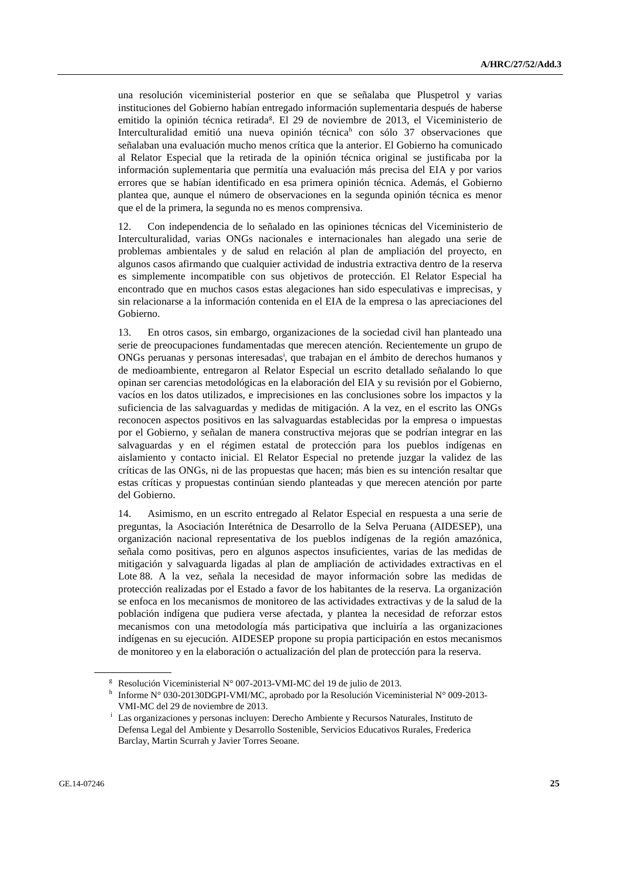una resolución viceministerial posterior en que se señalaba que Pluspetrol y varias instituciones del Gobierno habían entregado información suplementaria después de haberse emitido la opinión técnica retirada<sup>g</sup>. El 29 de noviembre de 2013, el Viceministerio de Interculturalidad emitió una nueva opinión técnica<sup>h</sup> con sólo 37 observaciones que señalaban una evaluación mucho menos crítica que la anterior. El Gobierno ha comunicado al Relator Especial que la retirada de la opinión técnica original se justificaba por la información suplementaria que permitía una evaluación más precisa del EIA y por varios errores que se habían identificado en esa primera opinión técnica. Además, el Gobierno plantea que, aunque el número de observaciones en la segunda opinión técnica es menor que el de la primera, la segunda no es menos comprensiva.

12. Con independencia de lo señalado en las opiniones técnicas del Viceministerio de Interculturalidad, varias ONGs nacionales e internacionales han alegado una serie de problemas ambientales y de salud en relación al plan de ampliación del proyecto, en algunos casos afirmando que cualquier actividad de industria extractiva dentro de la reserva es simplemente incompatible con sus objetivos de protección. El Relator Especial ha encontrado que en muchos casos estas alegaciones han sido especulativas e imprecisas, y sin relacionarse a la información contenida en el EIA de la empresa o las apreciaciones del Gobierno.

13. En otros casos, sin embargo, organizaciones de la sociedad civil han planteado una serie de preocupaciones fundamentadas que merecen atención. Recientemente un grupo de ONGs peruanas y personas interesadas<sup>i</sup>, que trabajan en el ámbito de derechos humanos y de medioambiente, entregaron al Relator Especial un escrito detallado señalando lo que opinan ser carencias metodológicas en la elaboración del EIA y su revisión por el Gobierno, vacíos en los datos utilizados, e imprecisiones en las conclusiones sobre los impactos y la suficiencia de las salvaguardas y medidas de mitigación. A la vez, en el escrito las ONGs reconocen aspectos positivos en las salvaguardas establecidas por la empresa o impuestas por el Gobierno, y señalan de manera constructiva mejoras que se podrían integrar en las salvaguardas y en el régimen estatal de protección para los pueblos indígenas en aislamiento y contacto inicial. El Relator Especial no pretende juzgar la validez de las críticas de las ONGs, ni de las propuestas que hacen; más bien es su intención resaltar que estas críticas y propuestas continúan siendo planteadas y que merecen atención por parte del Gobierno.

14. Asimismo, en un escrito entregado al Relator Especial en respuesta a una serie de preguntas, la Asociación Interétnica de Desarrollo de la Selva Peruana (AIDESEP), una organización nacional representativa de los pueblos indígenas de la región amazónica, señala como positivas, pero en algunos aspectos insuficientes, varias de las medidas de mitigación y salvaguarda ligadas al plan de ampliación de actividades extractivas en el Lote 88. A la vez, señala la necesidad de mayor información sobre las medidas de protección realizadas por el Estado a favor de los habitantes de la reserva. La organización se enfoca en los mecanismos de monitoreo de las actividades extractivas y de la salud de la población indígena que pudiera verse afectada, y plantea la necesidad de reforzar estos mecanismos con una metodología más participativa que incluiría a las organizaciones indígenas en su ejecución. AIDESEP propone su propia participación en estos mecanismos de monitoreo y en la elaboración o actualización del plan de protección para la reserva.

<sup>&</sup>lt;sup>g</sup> Resolución Viceministerial N° 007-2013-VMI-MC del 19 de julio de 2013.

h Informe N° 030-20130DGPI-VMI/MC, aprobado por la Resolución Viceministerial N° 009-2013-VMI-MC del 29 de noviembre de 2013.

Las organizaciones y personas incluyen: Derecho Ambiente y Recursos Naturales, Instituto de Defensa Legal del Ambiente y Desarrollo Sostenible, Servicios Educativos Rurales, Frederica Barclay, Martin Scurrah y Javier Torres Seoane.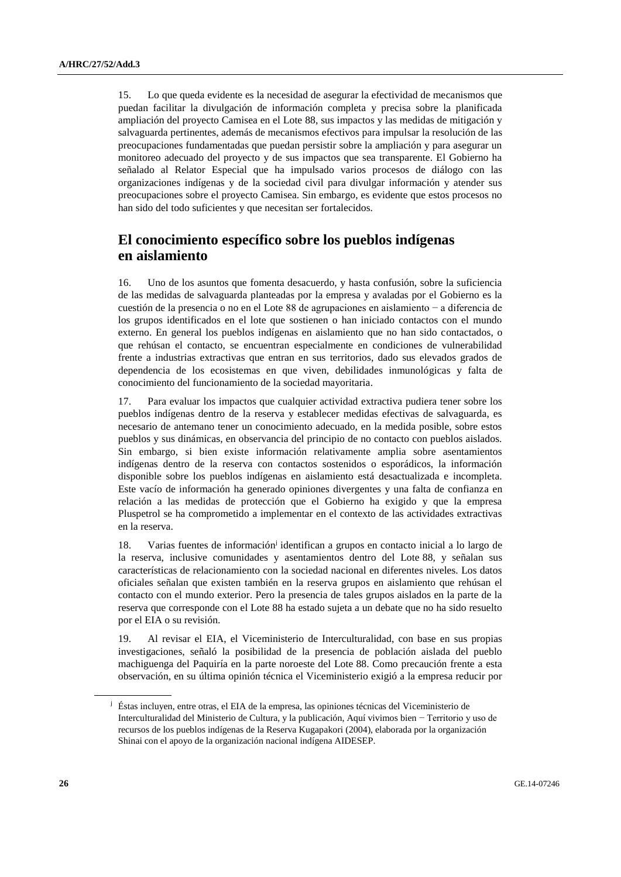15. Lo que queda evidente es la necesidad de asegurar la efectividad de mecanismos que puedan facilitar la divulgación de información completa y precisa sobre la planificada ampliación del proyecto Camisea en el Lote 88, sus impactos y las medidas de mitigación y salvaguarda pertinentes, además de mecanismos efectivos para impulsar la resolución de las preocupaciones fundamentadas que puedan persistir sobre la ampliación y para asegurar un monitoreo adecuado del proyecto y de sus impactos que sea transparente. El Gobierno ha señalado al Relator Especial que ha impulsado varios procesos de diálogo con las organizaciones indígenas y de la sociedad civil para divulgar información y atender sus preocupaciones sobre el proyecto Camisea. Sin embargo, es evidente que estos procesos no han sido del todo suficientes y que necesitan ser fortalecidos.

## **El conocimiento específico sobre los pueblos indígenas en aislamiento**

16. Uno de los asuntos que fomenta desacuerdo, y hasta confusión, sobre la suficiencia de las medidas de salvaguarda planteadas por la empresa y avaladas por el Gobierno es la cuestión de la presencia o no en el Lote 88 de agrupaciones en aislamiento − a diferencia de los grupos identificados en el lote que sostienen o han iniciado contactos con el mundo externo. En general los pueblos indígenas en aislamiento que no han sido contactados, o que rehúsan el contacto, se encuentran especialmente en condiciones de vulnerabilidad frente a industrias extractivas que entran en sus territorios, dado sus elevados grados de dependencia de los ecosistemas en que viven, debilidades inmunológicas y falta de conocimiento del funcionamiento de la sociedad mayoritaria.

17. Para evaluar los impactos que cualquier actividad extractiva pudiera tener sobre los pueblos indígenas dentro de la reserva y establecer medidas efectivas de salvaguarda, es necesario de antemano tener un conocimiento adecuado, en la medida posible, sobre estos pueblos y sus dinámicas, en observancia del principio de no contacto con pueblos aislados. Sin embargo, si bien existe información relativamente amplia sobre asentamientos indígenas dentro de la reserva con contactos sostenidos o esporádicos, la información disponible sobre los pueblos indígenas en aislamiento está desactualizada e incompleta. Este vacío de información ha generado opiniones divergentes y una falta de confianza en relación a las medidas de protección que el Gobierno ha exigido y que la empresa Pluspetrol se ha comprometido a implementar en el contexto de las actividades extractivas en la reserva.

18. Varias fuentes de información<sup>j</sup> identifican a grupos en contacto inicial a lo largo de la reserva, inclusive comunidades y asentamientos dentro del Lote 88, y señalan sus características de relacionamiento con la sociedad nacional en diferentes niveles. Los datos oficiales señalan que existen también en la reserva grupos en aislamiento que rehúsan el contacto con el mundo exterior. Pero la presencia de tales grupos aislados en la parte de la reserva que corresponde con el Lote 88 ha estado sujeta a un debate que no ha sido resuelto por el EIA o su revisión.

19. Al revisar el EIA, el Viceministerio de Interculturalidad, con base en sus propias investigaciones, señaló la posibilidad de la presencia de población aislada del pueblo machiguenga del Paquiría en la parte noroeste del Lote 88. Como precaución frente a esta observación, en su última opinión técnica el Viceministerio exigió a la empresa reducir por

<sup>j</sup> Éstas incluyen, entre otras, el EIA de la empresa, las opiniones técnicas del Viceministerio de Interculturalidad del Ministerio de Cultura, y la publicación, Aquí vivimos bien − Territorio y uso de recursos de los pueblos indígenas de la Reserva Kugapakori (2004), elaborada por la organización Shinai con el apoyo de la organización nacional indígena AIDESEP.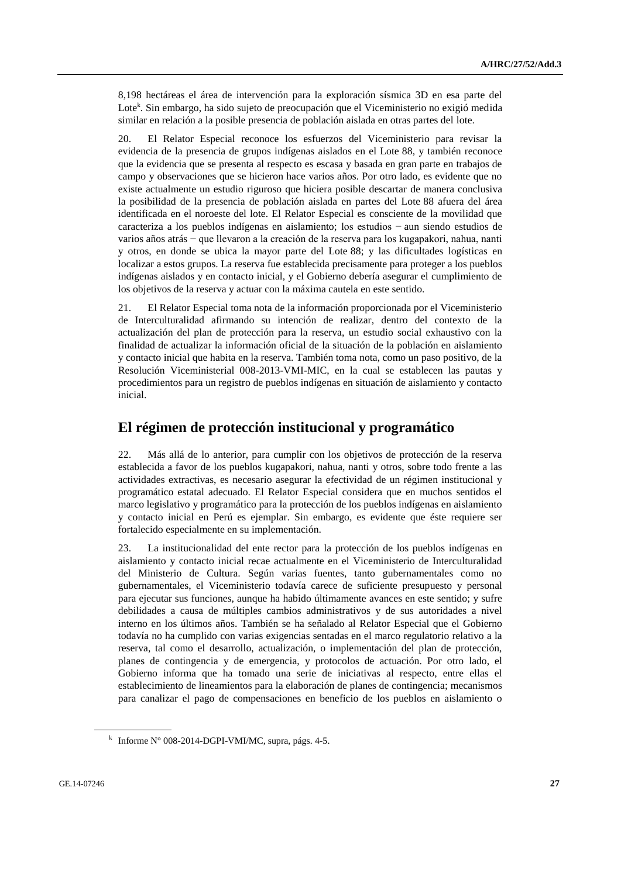8,198 hectáreas el área de intervención para la exploración sísmica 3D en esa parte del Lote<sup>k</sup>. Sin embargo, ha sido sujeto de preocupación que el Viceministerio no exigió medida similar en relación a la posible presencia de población aislada en otras partes del lote.

20. El Relator Especial reconoce los esfuerzos del Viceministerio para revisar la evidencia de la presencia de grupos indígenas aislados en el Lote 88, y también reconoce que la evidencia que se presenta al respecto es escasa y basada en gran parte en trabajos de campo y observaciones que se hicieron hace varios años. Por otro lado, es evidente que no existe actualmente un estudio riguroso que hiciera posible descartar de manera conclusiva la posibilidad de la presencia de población aislada en partes del Lote 88 afuera del área identificada en el noroeste del lote. El Relator Especial es consciente de la movilidad que caracteriza a los pueblos indígenas en aislamiento; los estudios − aun siendo estudios de varios años atrás − que llevaron a la creación de la reserva para los kugapakori, nahua, nanti y otros, en donde se ubica la mayor parte del Lote 88; y las dificultades logísticas en localizar a estos grupos. La reserva fue establecida precisamente para proteger a los pueblos indígenas aislados y en contacto inicial, y el Gobierno debería asegurar el cumplimiento de los objetivos de la reserva y actuar con la máxima cautela en este sentido.

21. El Relator Especial toma nota de la información proporcionada por el Viceministerio de Interculturalidad afirmando su intención de realizar, dentro del contexto de la actualización del plan de protección para la reserva, un estudio social exhaustivo con la finalidad de actualizar la información oficial de la situación de la población en aislamiento y contacto inicial que habita en la reserva. También toma nota, como un paso positivo, de la Resolución Viceministerial 008-2013-VMI-MIC, en la cual se establecen las pautas y procedimientos para un registro de pueblos indígenas en situación de aislamiento y contacto inicial.

### **El régimen de protección institucional y programático**

22. Más allá de lo anterior, para cumplir con los objetivos de protección de la reserva establecida a favor de los pueblos kugapakori, nahua, nanti y otros, sobre todo frente a las actividades extractivas, es necesario asegurar la efectividad de un régimen institucional y programático estatal adecuado. El Relator Especial considera que en muchos sentidos el marco legislativo y programático para la protección de los pueblos indígenas en aislamiento y contacto inicial en Perú es ejemplar. Sin embargo, es evidente que éste requiere ser fortalecido especialmente en su implementación.

23. La institucionalidad del ente rector para la protección de los pueblos indígenas en aislamiento y contacto inicial recae actualmente en el Viceministerio de Interculturalidad del Ministerio de Cultura. Según varias fuentes, tanto gubernamentales como no gubernamentales, el Viceministerio todavía carece de suficiente presupuesto y personal para ejecutar sus funciones, aunque ha habido últimamente avances en este sentido; y sufre debilidades a causa de múltiples cambios administrativos y de sus autoridades a nivel interno en los últimos años. También se ha señalado al Relator Especial que el Gobierno todavía no ha cumplido con varias exigencias sentadas en el marco regulatorio relativo a la reserva, tal como el desarrollo, actualización, o implementación del plan de protección, planes de contingencia y de emergencia, y protocolos de actuación. Por otro lado, el Gobierno informa que ha tomado una serie de iniciativas al respecto, entre ellas el establecimiento de lineamientos para la elaboración de planes de contingencia; mecanismos para canalizar el pago de compensaciones en beneficio de los pueblos en aislamiento o

<sup>&</sup>lt;sup>k</sup> Informe N° 008-2014-DGPI-VMI/MC, supra, págs. 4-5.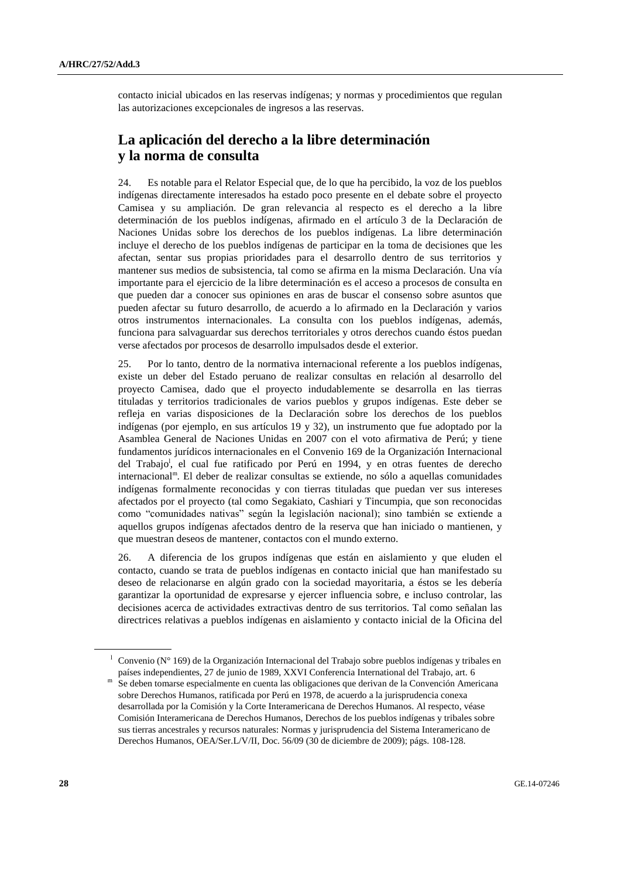contacto inicial ubicados en las reservas indígenas; y normas y procedimientos que regulan las autorizaciones excepcionales de ingresos a las reservas.

# **La aplicación del derecho a la libre determinación y la norma de consulta**

24. Es notable para el Relator Especial que, de lo que ha percibido, la voz de los pueblos indígenas directamente interesados ha estado poco presente en el debate sobre el proyecto Camisea y su ampliación. De gran relevancia al respecto es el derecho a la libre determinación de los pueblos indígenas, afirmado en el artículo 3 de la Declaración de Naciones Unidas sobre los derechos de los pueblos indígenas. La libre determinación incluye el derecho de los pueblos indígenas de participar en la toma de decisiones que les afectan, sentar sus propias prioridades para el desarrollo dentro de sus territorios y mantener sus medios de subsistencia, tal como se afirma en la misma Declaración. Una vía importante para el ejercicio de la libre determinación es el acceso a procesos de consulta en que pueden dar a conocer sus opiniones en aras de buscar el consenso sobre asuntos que pueden afectar su futuro desarrollo, de acuerdo a lo afirmado en la Declaración y varios otros instrumentos internacionales. La consulta con los pueblos indígenas, además, funciona para salvaguardar sus derechos territoriales y otros derechos cuando éstos puedan verse afectados por procesos de desarrollo impulsados desde el exterior.

25. Por lo tanto, dentro de la normativa internacional referente a los pueblos indígenas, existe un deber del Estado peruano de realizar consultas en relación al desarrollo del proyecto Camisea, dado que el proyecto indudablemente se desarrolla en las tierras tituladas y territorios tradicionales de varios pueblos y grupos indígenas. Este deber se refleja en varias disposiciones de la Declaración sobre los derechos de los pueblos indígenas (por ejemplo, en sus artículos 19 y 32), un instrumento que fue adoptado por la Asamblea General de Naciones Unidas en 2007 con el voto afirmativa de Perú; y tiene fundamentos jurídicos internacionales en el Convenio 169 de la Organización Internacional del Trabajo<sup>l</sup>, el cual fue ratificado por Perú en 1994, y en otras fuentes de derecho internacional<sup>m</sup>. El deber de realizar consultas se extiende, no sólo a aquellas comunidades indígenas formalmente reconocidas y con tierras tituladas que puedan ver sus intereses afectados por el proyecto (tal como Segakiato, Cashiari y Tincumpia, que son reconocidas como "comunidades nativas" según la legislación nacional); sino también se extiende a aquellos grupos indígenas afectados dentro de la reserva que han iniciado o mantienen, y que muestran deseos de mantener, contactos con el mundo externo.

26. A diferencia de los grupos indígenas que están en aislamiento y que eluden el contacto, cuando se trata de pueblos indígenas en contacto inicial que han manifestado su deseo de relacionarse en algún grado con la sociedad mayoritaria, a éstos se les debería garantizar la oportunidad de expresarse y ejercer influencia sobre, e incluso controlar, las decisiones acerca de actividades extractivas dentro de sus territorios. Tal como señalan las directrices relativas a pueblos indígenas en aislamiento y contacto inicial de la Oficina del

<sup>&</sup>lt;sup>1</sup> Convenio (N° 169) de la Organización Internacional del Trabajo sobre pueblos indígenas y tribales en países independientes, 27 de junio de 1989, XXVI Conferencia International del Trabajo, art. 6

m Se deben tomarse especialmente en cuenta las obligaciones que derivan de la Convención Americana sobre Derechos Humanos, ratificada por Perú en 1978, de acuerdo a la jurisprudencia conexa desarrollada por la Comisión y la Corte Interamericana de Derechos Humanos. Al respecto, véase Comisión Interamericana de Derechos Humanos, Derechos de los pueblos indígenas y tribales sobre sus tierras ancestrales y recursos naturales: Normas y jurisprudencia del Sistema Interamericano de Derechos Humanos, OEA/Ser.L/V/II, Doc. 56/09 (30 de diciembre de 2009); págs. 108-128.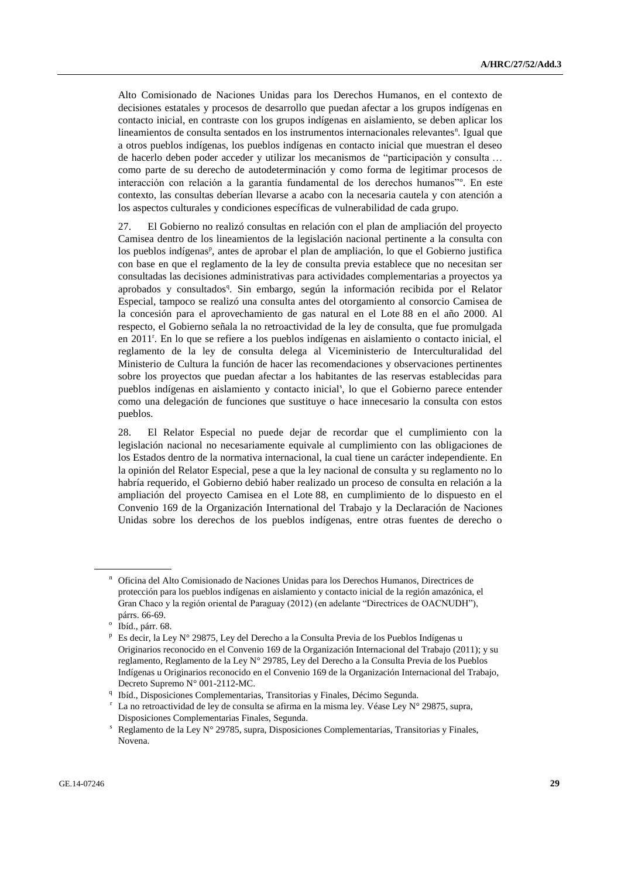Alto Comisionado de Naciones Unidas para los Derechos Humanos, en el contexto de decisiones estatales y procesos de desarrollo que puedan afectar a los grupos indígenas en contacto inicial, en contraste con los grupos indígenas en aislamiento, se deben aplicar los lineamientos de consulta sentados en los instrumentos internacionales relevantes<sup>n</sup>. Igual que a otros pueblos indígenas, los pueblos indígenas en contacto inicial que muestran el deseo de hacerlo deben poder acceder y utilizar los mecanismos de "participación y consulta … como parte de su derecho de autodeterminación y como forma de legitimar procesos de interacción con relación a la garantía fundamental de los derechos humanos"<sup>o</sup>. En este contexto, las consultas deberían llevarse a acabo con la necesaria cautela y con atención a los aspectos culturales y condiciones específicas de vulnerabilidad de cada grupo.

27. El Gobierno no realizó consultas en relación con el plan de ampliación del proyecto Camisea dentro de los lineamientos de la legislación nacional pertinente a la consulta con los pueblos indígenas<sup>p</sup>, antes de aprobar el plan de ampliación, lo que el Gobierno justifica con base en que el reglamento de la ley de consulta previa establece que no necesitan ser consultadas las decisiones administrativas para actividades complementarias a proyectos ya aprobados y consultados<sup>q</sup>. Sin embargo, según la información recibida por el Relator Especial, tampoco se realizó una consulta antes del otorgamiento al consorcio Camisea de la concesión para el aprovechamiento de gas natural en el Lote 88 en el año 2000. Al respecto, el Gobierno señala la no retroactividad de la ley de consulta, que fue promulgada en 2011<sup>r</sup>. En lo que se refiere a los pueblos indígenas en aislamiento o contacto inicial, el reglamento de la ley de consulta delega al Viceministerio de Interculturalidad del Ministerio de Cultura la función de hacer las recomendaciones y observaciones pertinentes sobre los proyectos que puedan afectar a los habitantes de las reservas establecidas para pueblos indígenas en aislamiento y contacto inicial<sup>s</sup>, lo que el Gobierno parece entender como una delegación de funciones que sustituye o hace innecesario la consulta con estos pueblos.

28. El Relator Especial no puede dejar de recordar que el cumplimiento con la legislación nacional no necesariamente equivale al cumplimiento con las obligaciones de los Estados dentro de la normativa internacional, la cual tiene un carácter independiente. En la opinión del Relator Especial, pese a que la ley nacional de consulta y su reglamento no lo habría requerido, el Gobierno debió haber realizado un proceso de consulta en relación a la ampliación del proyecto Camisea en el Lote 88, en cumplimiento de lo dispuesto en el Convenio 169 de la Organización International del Trabajo y la Declaración de Naciones Unidas sobre los derechos de los pueblos indígenas, entre otras fuentes de derecho o

<sup>n</sup> Oficina del Alto Comisionado de Naciones Unidas para los Derechos Humanos, Directrices de protección para los pueblos indígenas en aislamiento y contacto inicial de la región amazónica, el Gran Chaco y la región oriental de Paraguay (2012) (en adelante "Directrices de OACNUDH"), párrs. 66-69.

o Ibíd., párr. 68.

<sup>&</sup>lt;sup>p</sup> Es decir, la Ley N° 29875, Ley del Derecho a la Consulta Previa de los Pueblos Indígenas u Originarios reconocido en el Convenio 169 de la Organización Internacional del Trabajo (2011); y su reglamento, Reglamento de la Ley N° 29785, Ley del Derecho a la Consulta Previa de los Pueblos Indígenas u Originarios reconocido en el Convenio 169 de la Organización Internacional del Trabajo, Decreto Supremo N° 001-2112-MC.

<sup>&</sup>lt;sup>q</sup> Ibíd., Disposiciones Complementarias, Transitorias y Finales, Décimo Segunda.

La no retroactividad de ley de consulta se afirma en la misma ley. Véase Ley  $N^{\circ}$  29875, supra, Disposiciones Complementarias Finales, Segunda.

Reglamento de la Ley N° 29785, supra, Disposiciones Complementarias, Transitorias y Finales, Novena.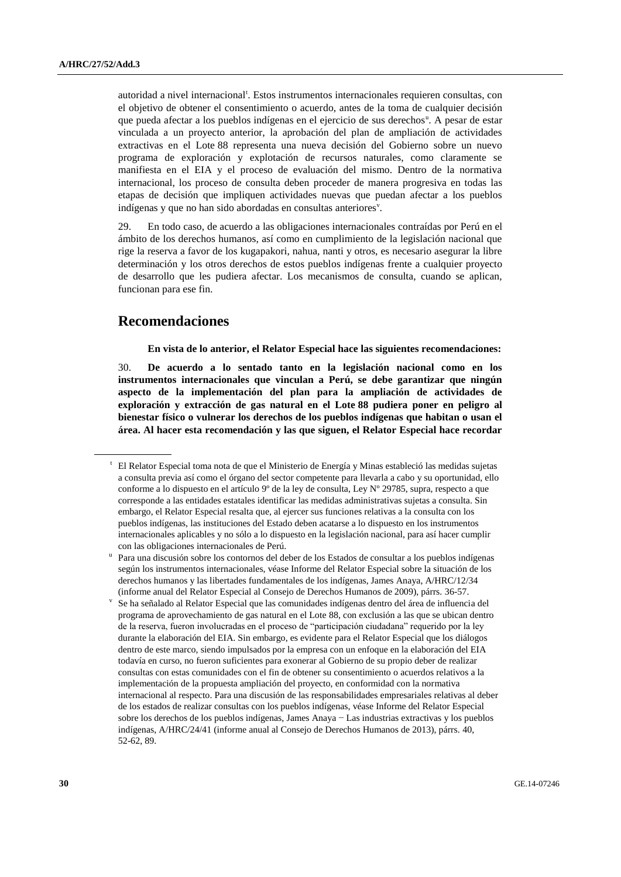autoridad a nivel internacional<sup>t</sup>. Estos instrumentos internacionales requieren consultas, con el objetivo de obtener el consentimiento o acuerdo, antes de la toma de cualquier decisión que pueda afectar a los pueblos indígenas en el ejercicio de sus derechos<sup>u</sup>. A pesar de estar vinculada a un proyecto anterior, la aprobación del plan de ampliación de actividades extractivas en el Lote 88 representa una nueva decisión del Gobierno sobre un nuevo programa de exploración y explotación de recursos naturales, como claramente se manifiesta en el EIA y el proceso de evaluación del mismo. Dentro de la normativa internacional, los proceso de consulta deben proceder de manera progresiva en todas las etapas de decisión que impliquen actividades nuevas que puedan afectar a los pueblos indígenas y que no han sido abordadas en consultas anteriores<sup>v</sup>.

29. En todo caso, de acuerdo a las obligaciones internacionales contraídas por Perú en el ámbito de los derechos humanos, así como en cumplimiento de la legislación nacional que rige la reserva a favor de los kugapakori, nahua, nanti y otros, es necesario asegurar la libre determinación y los otros derechos de estos pueblos indígenas frente a cualquier proyecto de desarrollo que les pudiera afectar. Los mecanismos de consulta, cuando se aplican, funcionan para ese fin.

### **Recomendaciones**

**En vista de lo anterior, el Relator Especial hace las siguientes recomendaciones:**

30. **De acuerdo a lo sentado tanto en la legislación nacional como en los instrumentos internacionales que vinculan a Perú, se debe garantizar que ningún aspecto de la implementación del plan para la ampliación de actividades de exploración y extracción de gas natural en el Lote 88 pudiera poner en peligro al bienestar físico o vulnerar los derechos de los pueblos indígenas que habitan o usan el área. Al hacer esta recomendación y las que siguen, el Relator Especial hace recordar** 

<sup>t</sup> El Relator Especial toma nota de que el Ministerio de Energía y Minas estableció las medidas sujetas a consulta previa así como el órgano del sector competente para llevarla a cabo y su oportunidad, ello conforme a lo dispuesto en el artículo 9º de la ley de consulta, Ley Nº 29785, supra, respecto a que corresponde a las entidades estatales identificar las medidas administrativas sujetas a consulta. Sin embargo, el Relator Especial resalta que, al ejercer sus funciones relativas a la consulta con los pueblos indígenas, las instituciones del Estado deben acatarse a lo dispuesto en los instrumentos internacionales aplicables y no sólo a lo dispuesto en la legislación nacional, para así hacer cumplir con las obligaciones internacionales de Perú.

u Para una discusión sobre los contornos del deber de los Estados de consultar a los pueblos indígenas según los instrumentos internacionales, véase Informe del Relator Especial sobre la situación de los derechos humanos y las libertades fundamentales de los indígenas, James Anaya, A/HRC/12/34 (informe anual del Relator Especial al Consejo de Derechos Humanos de 2009), párrs. 36-57.

v Se ha señalado al Relator Especial que las comunidades indígenas dentro del área de influencia del programa de aprovechamiento de gas natural en el Lote 88, con exclusión a las que se ubican dentro de la reserva, fueron involucradas en el proceso de "participación ciudadana" requerido por la ley durante la elaboración del EIA. Sin embargo, es evidente para el Relator Especial que los diálogos dentro de este marco, siendo impulsados por la empresa con un enfoque en la elaboración del EIA todavía en curso, no fueron suficientes para exonerar al Gobierno de su propio deber de realizar consultas con estas comunidades con el fin de obtener su consentimiento o acuerdos relativos a la implementación de la propuesta ampliación del proyecto, en conformidad con la normativa internacional al respecto. Para una discusión de las responsabilidades empresariales relativas al deber de los estados de realizar consultas con los pueblos indígenas, véase Informe del Relator Especial sobre los derechos de los pueblos indígenas, James Anaya − Las industrias extractivas y los pueblos indígenas, A/HRC/24/41 (informe anual al Consejo de Derechos Humanos de 2013), párrs. 40, 52-62, 89.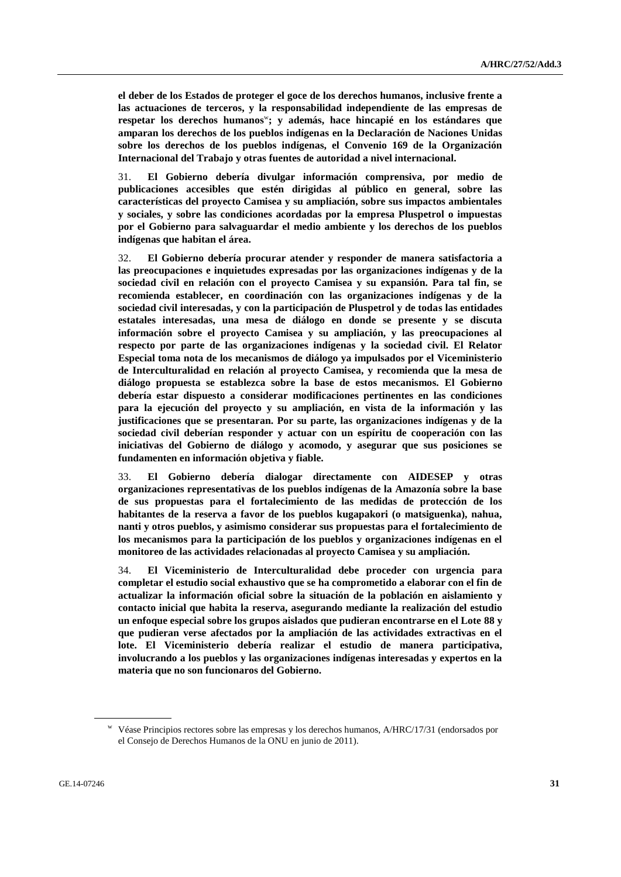**el deber de los Estados de proteger el goce de los derechos humanos, inclusive frente a las actuaciones de terceros, y la responsabilidad independiente de las empresas de respetar los derechos humanos**<sup>w</sup> **; y además, hace hincapié en los estándares que amparan los derechos de los pueblos indígenas en la Declaración de Naciones Unidas sobre los derechos de los pueblos indígenas, el Convenio 169 de la Organización Internacional del Trabajo y otras fuentes de autoridad a nivel internacional.**

31. **El Gobierno debería divulgar información comprensiva, por medio de publicaciones accesibles que estén dirigidas al público en general, sobre las características del proyecto Camisea y su ampliación, sobre sus impactos ambientales y sociales, y sobre las condiciones acordadas por la empresa Pluspetrol o impuestas por el Gobierno para salvaguardar el medio ambiente y los derechos de los pueblos indígenas que habitan el área.** 

32. **El Gobierno debería procurar atender y responder de manera satisfactoria a las preocupaciones e inquietudes expresadas por las organizaciones indígenas y de la sociedad civil en relación con el proyecto Camisea y su expansión. Para tal fin, se recomienda establecer, en coordinación con las organizaciones indígenas y de la sociedad civil interesadas, y con la participación de Pluspetrol y de todas las entidades estatales interesadas, una mesa de diálogo en donde se presente y se discuta información sobre el proyecto Camisea y su ampliación, y las preocupaciones al respecto por parte de las organizaciones indígenas y la sociedad civil. El Relator Especial toma nota de los mecanismos de diálogo ya impulsados por el Viceministerio de Interculturalidad en relación al proyecto Camisea, y recomienda que la mesa de diálogo propuesta se establezca sobre la base de estos mecanismos. El Gobierno debería estar dispuesto a considerar modificaciones pertinentes en las condiciones para la ejecución del proyecto y su ampliación, en vista de la información y las justificaciones que se presentaran. Por su parte, las organizaciones indígenas y de la sociedad civil deberían responder y actuar con un espíritu de cooperación con las iniciativas del Gobierno de diálogo y acomodo, y asegurar que sus posiciones se fundamenten en información objetiva y fiable.**

33. **El Gobierno debería dialogar directamente con AIDESEP y otras organizaciones representativas de los pueblos indígenas de la Amazonía sobre la base de sus propuestas para el fortalecimiento de las medidas de protección de los habitantes de la reserva a favor de los pueblos kugapakori (o matsiguenka), nahua, nanti y otros pueblos, y asimismo considerar sus propuestas para el fortalecimiento de los mecanismos para la participación de los pueblos y organizaciones indígenas en el monitoreo de las actividades relacionadas al proyecto Camisea y su ampliación.**

34. **El Viceministerio de Interculturalidad debe proceder con urgencia para completar el estudio social exhaustivo que se ha comprometido a elaborar con el fin de actualizar la información oficial sobre la situación de la población en aislamiento y contacto inicial que habita la reserva, asegurando mediante la realización del estudio un enfoque especial sobre los grupos aislados que pudieran encontrarse en el Lote 88 y que pudieran verse afectados por la ampliación de las actividades extractivas en el lote. El Viceministerio debería realizar el estudio de manera participativa, involucrando a los pueblos y las organizaciones indígenas interesadas y expertos en la materia que no son funcionaros del Gobierno.**

<sup>w</sup> Véase Principios rectores sobre las empresas y los derechos humanos, A/HRC/17/31 (endorsados por el Consejo de Derechos Humanos de la ONU en junio de 2011).